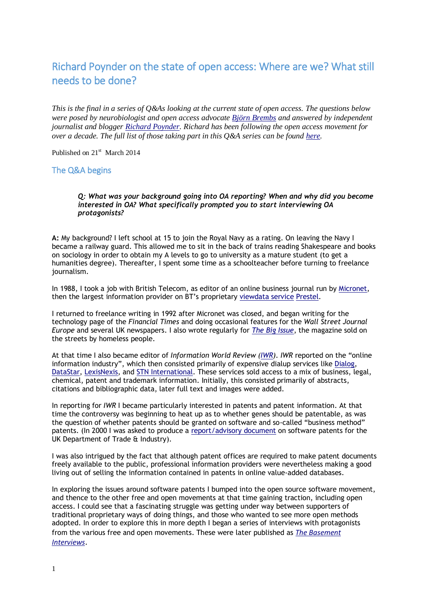# Richard Poynder on the state of open access: Where are we? What still needs to be done?

*This is the final in a series of Q&As looking at the current state of open access. The questions below were posed by neurobiologist and open access advocate [Björn Brembs](http://brembs.net/) and answered by independent journalist and blogger [Richard Poynder.](http://richardpoynder.co.uk/) Richard has been following the open access movement for over a decade. The full list of those taking part in this Q&A series can be found [here.](http://richardpoynder.co.uk/the-state-of-open-access.html)*

Published on 21<sup>st</sup> March 2014

## The Q&A begins

#### *Q: What was your background going into OA reporting? When and why did you become interested in OA? What specifically prompted you to start interviewing OA protagonists?*

**A:** My background? I left school at 15 to join the Royal Navy as a rating. On leaving the Navy I became a railway guard. This allowed me to sit in the back of trains reading Shakespeare and books on sociology in order to obtain my A levels to go to university as a mature student (to get a humanities degree). Thereafter, I spent some time as a schoolteacher before turning to freelance journalism.

In 1988, I took a job with British Telecom, as editor of an online business journal run by [Micronet,](http://en.wikipedia.org/wiki/Micronet_800) then the largest information provider on BT's proprietary [viewdata service](http://en.wikipedia.org/wiki/Viewdata) [Prestel.](http://en.wikipedia.org/wiki/Prestel)

I returned to freelance writing in 1992 after Micronet was closed, and began writing for the technology page of the *Financial Times* and doing occasional features for the *Wall Street Journal Europe* and several UK newspapers. I also wrote regularly for *[The Big Issue](http://www.bigissue.com/)*, the magazine sold on the streets by homeless people.

At that time I also became editor of *Information World Review [\(IWR\)](http://www.iwr.co.uk/http:/www.iwr.co.uk/)*. *IWR* reported on the "online information industry", which then consisted primarily of expensive dialup services like [Dialog,](http://www.intellogist.com/wiki/Report:DialogClassic_and_Classic_Web/System_Data) [DataStar,](http://www.intellogist.com/wiki/DataStar) [LexisNexis,](https://www.lexisnexis.co.uk/en-uk/home.page) and [STN International.](http://www.stn-international.de/index.php?id=123) These services sold access to a mix of business, legal, chemical, patent and trademark information. Initially, this consisted primarily of abstracts, citations and bibliographic data, later full text and images were added.

In reporting for *IWR* I became particularly interested in patents and patent information. At that time the controversy was beginning to heat up as to whether genes should be patentable, as was the question of whether patents should be granted on software and so-called "business method" patents. (In 2000 I was asked to produce a [report/advisory document](http://www.richardpoynder.co.uk/SPReportFinal.DOC) on software patents for the UK Department of Trade & Industry).

I was also intrigued by the fact that although patent offices are required to make patent documents freely available to the public, professional information providers were nevertheless making a good living out of selling the information contained in patents in online value-added databases.

In exploring the issues around software patents I bumped into the open source software movement, and thence to the other free and open movements at that time gaining traction, including open access. I could see that a fascinating struggle was getting under way between supporters of traditional proprietary ways of doing things, and those who wanted to see more open methods adopted. In order to explore this in more depth I began a series of interviews with protagonists from the various free and open movements. These were later published as *[The Basement](http://richardpoynder.co.uk/The%20Basement%20Interviews.htm)  [Interviews](http://richardpoynder.co.uk/The%20Basement%20Interviews.htm)*.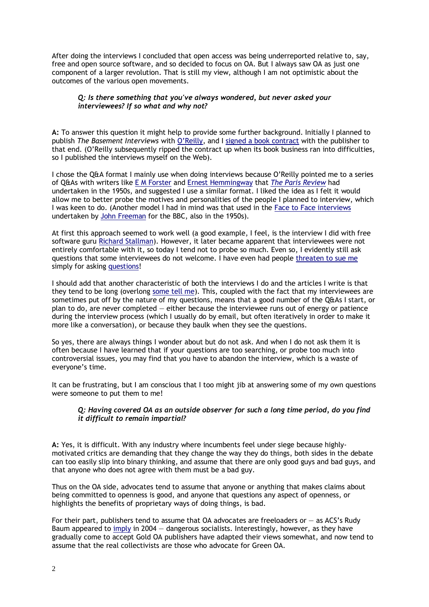After doing the interviews I concluded that open access was being underreported relative to, say, free and open source software, and so decided to focus on OA. But I always saw OA as just one component of a larger revolution. That is still my view, although I am not optimistic about the outcomes of the various open movements.

## *Q: Is there something that you've always wondered, but never asked your interviewees? If so what and why not?*

**A:** To answer this question it might help to provide some further background. Initially I planned to publish *The Basement Interviews* with [O'Reilly](http://www.oreilly.com/), and I [signed a book contract](http://poynder.blogspot.co.uk/2006/03/basement-interviews.html) with the publisher to that end. (O'Reilly subsequently ripped the contract up when its book business ran into difficulties, so I published the interviews myself on the Web).

I chose the Q&A format I mainly use when doing interviews because O'Reilly pointed me to a series of Q&As with writers like [E M Forster](http://www.theparisreview.org/interviews/5219/the-art-of-fiction-no-1-e-m-forster) and [Ernest Hemmingway](http://www.theparisreview.org/interviews/4825/the-art-of-fiction-no-21-ernest-hemingway) that *[The Paris Review](http://www.theparisreview.org/back-issues/year/1953)* had undertaken in the 1950s, and suggested I use a similar format. I liked the idea as I felt it would allow me to better probe the motives and personalities of the people I planned to interview, which I was keen to do. (Another model I had in mind was that used in the [Face to Face interviews](http://en.wikipedia.org/wiki/Face_to_Face_(British_TV_series)) undertaken by [John Freeman](http://en.wikipedia.org/wiki/John_Freeman_(British_politician)) for the BBC, also in the 1950s).

At first this approach seemed to work well (a good example, I feel, is the interview I did with free software guru [Richard Stallman\)](http://poynder.blogspot.co.uk/2006/03/interview-with-richard-stallman.html). However, it later became apparent that interviewees were not entirely comfortable with it, so today I tend not to probe so much. Even so, I evidently still ask questions that some interviewees do not welcome. I have even had people threaten [to sue me](http://openaccess.eprints.org/index.php?/archives/470-SuberHarnad-statement-in-support-of-the-investigative-work-of-Richard-Poynder.html) simply for asking [questions!](http://listserver.sigmaxi.org/sc/wa.exe?A2=ind08&L=american-scientist-open-access-forum&D=1&O=A&F=Pl&P=51625)

I should add that another characteristic of both the interviews I do and the articles I write is that they tend to be long (overlong [some tell me\)](https://twitter.com/RickyPo/status/337942047413633024). This, coupled with the fact that my interviewees are sometimes put off by the nature of my questions, means that a good number of the Q&As I start, or plan to do, are never completed — either because the interviewee runs out of energy or patience during the interview process (which I usually do by email, but often iteratively in order to make it more like a conversation), or because they baulk when they see the questions.

So yes, there are always things I wonder about but do not ask. And when I do not ask them it is often because I have learned that if your questions are too searching, or probe too much into controversial issues, you may find that you have to abandon the interview, which is a waste of everyone's time.

It can be frustrating, but I am conscious that I too might jib at answering some of my own questions were someone to put them to me!

## *Q: Having covered OA as an outside observer for such a long time period, do you find it difficult to remain impartial?*

**A:** Yes, it is difficult. With any industry where incumbents feel under siege because highlymotivated critics are demanding that they change the way they do things, both sides in the debate can too easily slip into binary thinking, and assume that there are only good guys and bad guys, and that anyone who does not agree with them must be a bad guy.

Thus on the OA side, advocates tend to assume that anyone or anything that makes claims about being committed to openness is good, and anyone that questions any aspect of openness, or highlights the benefits of proprietary ways of doing things, is bad.

For their part, publishers tend to assume that OA advocates are freeloaders or — as ACS's Rudy Baum appeared to [imply](http://pubs.acs.org/cen/editor/8238edit.html) in 2004 — dangerous socialists. Interestingly, however, as they have gradually come to accept Gold OA publishers have adapted their views somewhat, and now tend to assume that the real collectivists are those who advocate for Green OA.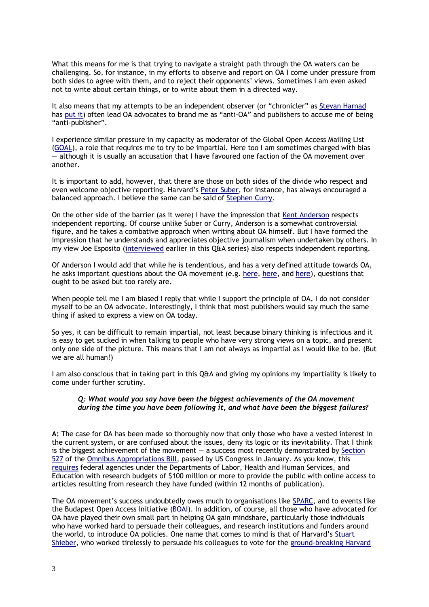What this means for me is that trying to navigate a straight path through the OA waters can be challenging. So, for instance, in my efforts to observe and report on OA I come under pressure from both sides to agree with them, and to reject their opponents' views. Sometimes I am even asked not to write about certain things, or to write about them in a directed way.

It also means that my attempts to be an independent observer (or "chronicler" as [Stevan Harnad](http://en.wikipedia.org/wiki/Stevan_Harnad) has [put](http://openaccess.eprints.org/index.php?/archives/547-Another-Winning-Article-From-OAs-Chronicler-and-Conscience-Richard-Poynder.html) it) often lead OA advocates to brand me as "anti-OA" and publishers to accuse me of being "anti-publisher".

I experience similar pressure in my capacity as moderator of the Global Open Access Mailing List [\(GOAL\)](http://mailman.ecs.soton.ac.uk/mailman/listinfo/goal), a role that requires me to try to be impartial. Here too I am sometimes charged with bias — although it is usually an accusation that I have favoured one faction of the OA movement over another.

It is important to add, however, that there are those on both sides of the divide who respect and even welcome objective reporting. Harvard's [Peter Suber,](http://en.wikipedia.org/wiki/Peter_Suber) for instance, has always encouraged a balanced approach. I believe the same can be said of [Stephen Curry.](http://occamstypewriter.org/scurry/about/)

On the other side of the barrier (as it were) I have the impression that [Kent Anderson](http://poynder.blogspot.co.uk/2012/11/interview-with-scholarly-kitchens-kent.html) respects independent reporting. Of course unlike Suber or Curry, Anderson is a somewhat controversial figure, and he takes a combative approach when writing about OA himself. But I have formed the impression that he understands and appreciates objective journalism when undertaken by others. In my view Joe Esposito [\(interviewed](http://poynder.blogspot.co.uk/2013/07/joseph-esposito-on-state-of-open-access.html) earlier in this Q&A series) also respects independent reporting.

Of Anderson I would add that while he is tendentious, and has a very defined attitude towards OA, he asks important questions about the OA movement (e.g. [here,](http://scholarlykitchen.sspnet.org/tag/freedom-of-information-act/) [here,](http://scholarlykitchen.sspnet.org/2014/01/29/can-mega-journals-maintain-boundaries-when-they-and-their-customers-both-embrace-publish-or-perish/) and [here\)](http://scholarlykitchen.sspnet.org/2014/01/03/the-jack-andraka-story-uncovering-the-hidden-contradictions-of-an-oa-paragon/), questions that ought to be asked but too rarely are.

When people tell me I am biased I reply that while I support the principle of OA, I do not consider myself to be an OA advocate. Interestingly, I think that most publishers would say much the same thing if asked to express a view on OA today.

So yes, it can be difficult to remain impartial, not least because binary thinking is infectious and it is easy to get sucked in when talking to people who have very strong views on a topic, and present only one side of the picture. This means that I am not always as impartial as I would like to be. (But we are all human!)

I am also conscious that in taking part in this Q&A and giving my opinions my impartiality is likely to come under further scrutiny.

## *Q: What would you say have been the biggest achievements of the OA movement during the time you have been following it, and what have been the biggest failures?*

**A:** The case for OA has been made so thoroughly now that only those who have a vested interest in the current system, or are confused about the issues, deny its logic or its inevitability. That I think is the biggest achievement of the movement  $-$  a success most recently demonstrated by Section [527](https://www.eff.org/files/2014/01/16/omnibus-approprations-2014-p1020.pdf) of the [Omnibus Appropriations Bill,](http://www.nationaljournal.com/congress/applause-greets-passage-of-omnibus-appropriations-bill-20140115) passed by US Congress in January. As you know, this [requires](http://www.sparc.arl.org/news/omnibus-appropriations-bill-codifies-white-house-directive) federal agencies under the Departments of Labor, Health and Human Services, and Education with research budgets of \$100 million or more to provide the public with online access to articles resulting from research they have funded (within 12 months of publication).

The OA movement's success undoubtedly owes much to organisations like [SPARC,](http://www.sparc.arl.org/) and to events like the Budapest Open Access Initiative [\(BOAI\)](http://www.budapestopenaccessinitiative.org/read). In addition, of course, all those who have advocated for OA have played their own small part in helping OA gain mindshare, particularly those individuals who have worked hard to persuade their colleagues, and research institutions and funders around the world, to introduce OA policies. One name that comes to mind is that of Harvard's [Stuart](http://www.eecs.harvard.edu/shieber/)  [Shieber,](http://www.eecs.harvard.edu/shieber/) who worked tirelessly to persuade his colleagues to vote for the [ground-breaking Harvard](http://www.the-scientist.com/?articles.view/articleNo/26093/title/Harvard-first-to-force-open-access/)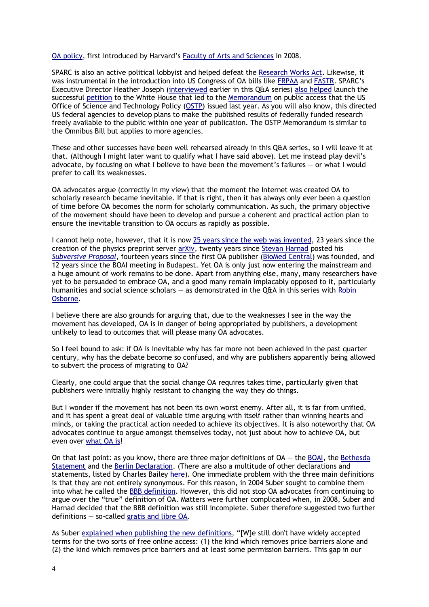#### [OA policy,](http://www.the-scientist.com/?articles.view/articleNo/26093/title/Harvard-first-to-force-open-access/) first introduced by Harvard's [Faculty of Arts and Sciences](http://www.fas.harvard.edu/) in 2008.

SPARC is also an active political lobbyist and helped defeat the [Research Works Act.](http://en.wikipedia.org/wiki/Research_Works_Act) Likewise, it was instrumental in the introduction into US Congress of OA bills like [FRPAA](http://sparc.arl.org/advocacy/national/frpaa) and [FASTR.](http://www.sparc.arl.org/advocacy/national/fastr/faq) SPARC's Executive Director Heather Joseph [\(interviewed](http://poynder.blogspot.co.uk/2013/07/heather-joseph-on-state-of-open-access.htm) earlier in this Q&A series) [also helped](http://en.wikipedia.org/wiki/Access2Research) launch the successful [petition](https://petitions.whitehouse.gov/petition/require-free-access-over-internet-scientific-journal-articles-arising-taxpayer-funded-research/wDX82FLQ) to the White House that led to the [Memorandum](http://www.whitehouse.gov/blog/2013/02/22/expanding-public-access-results-federally-funded-research) on public access that the US Office of Science and Technology Policy [\(OSTP\)](http://www.whitehouse.gov/administration/eop/ostp) issued last year. As you will also know, this directed US federal agencies to develop plans to make the published results of federally funded research freely available to the public within one year of publication. The OSTP Memorandum is similar to the Omnibus Bill but applies to more agencies.

These and other successes have been well rehearsed already in this Q&A series, so I will leave it at that. (Although I might later want to qualify what I have said above). Let me instead play devil's advocate, by focusing on what I believe to have been the movement's failures — or what I would prefer to call its weaknesses.

OA advocates argue (correctly in my view) that the moment the Internet was created OA to scholarly research became inevitable. If that is right, then it has always only ever been a question of time before OA becomes the norm for scholarly communication. As such, the primary objective of the movement should have been to develop and pursue a coherent and practical action plan to ensure the inevitable transition to OA occurs as rapidly as possible.

I cannot help note, however, that it is now 25 [years since the web was invented,](http://www.independent.co.uk/life-style/gadgets-and-tech/news/25-years-of-the-world-wide-web-the-inventor-of-the-web-tim-bernerslee-explains-how-it-all-began-9185040.html) 23 years since the creation of the physics preprint server [arXiv,](http://arxiv.org/) twenty years since [Stevan Harnad](http://www.ecs.soton.ac.uk/people/harnad) posted his *[Subversive Proposal](http://en.wikipedia.org/wiki/Subversive_proposal)*, fourteen years since the first OA publisher [\(BioMed Central\)](http://www.biomedcentral.com/) was founded, and 12 years since the BOAI meeting in Budapest. Yet OA is only just now entering the mainstream and a huge amount of work remains to be done. Apart from anything else, many, many researchers have yet to be persuaded to embrace OA, and a good many remain implacably opposed to it, particularly humanities and social science scholars — as demonstrated in the Q&A in this series with [Robin](http://poynder.blogspot.co.uk/2013/12/robin-osborne-on-state-of-open-access.html)  [Osborne.](http://poynder.blogspot.co.uk/2013/12/robin-osborne-on-state-of-open-access.html)

I believe there are also grounds for arguing that, due to the weaknesses I see in the way the movement has developed, OA is in danger of being appropriated by publishers, a development unlikely to lead to outcomes that will please many OA advocates.

So I feel bound to ask: if OA is inevitable why has far more not been achieved in the past quarter century, why has the debate become so confused, and why are publishers apparently being allowed to subvert the process of migrating to OA?

Clearly, one could argue that the social change OA requires takes time, particularly given that publishers were initially highly resistant to changing the way they do things.

But I wonder if the movement has not been its own worst enemy. After all, it is far from unified, and it has spent a great deal of valuable time arguing with itself rather than winning hearts and minds, or taking the practical action needed to achieve its objectives. It is also noteworthy that OA advocates continue to argue amongst themselves today, not just about how to achieve OA, but even over [what OA is!](https://lists.okfn.org/pipermail/open-access/2014-January/001523.html)

On that last point: as you know, there are three major definitions of OA — the [BOAI,](http://www.budapestopenaccessinitiative.org/) the [Bethesda](http://legacy.earlham.edu/~peters/fos/bethesda.htm)  [Statement](http://legacy.earlham.edu/~peters/fos/bethesda.htm) and the [Berlin Declaration.](http://openaccess.mpg.de/286432/Berlin-Declaration) (There are also a multitude of other declarations and statements, listed by Charles Bailey [here\)](http://digital-scholarship.org/cwb/WhatIsOA.htm). One immediate problem with the three main definitions is that they are not entirely synonymous. For this reason, in 2004 Suber sought to combine them into what he called the [BBB definition.](http://legacy.earlham.edu/~peters/fos/newsletter/09-02-04.htm#progress) However, this did not stop OA advocates from continuing to argue over the "true" definition of OA. Matters were further complicated when, in 2008, Suber and Harnad decided that the BBB definition was still incomplete. Suber therefore suggested two further definitions — so-called [gratis and libre OA.](http://legacy.earlham.edu/~peters/fos/2008/08/greengold-oa-and-gratislibre-oa.html)

As Suber [explained when publishing the new definitions,](http://legacy.earlham.edu/~peters/fos/newsletter/08-02-08.htm#gratis-libre) "[W]e still don't have widely accepted terms for the two sorts of free online access: (1) the kind which removes price barriers alone and (2) the kind which removes price barriers and at least some permission barriers. This gap in our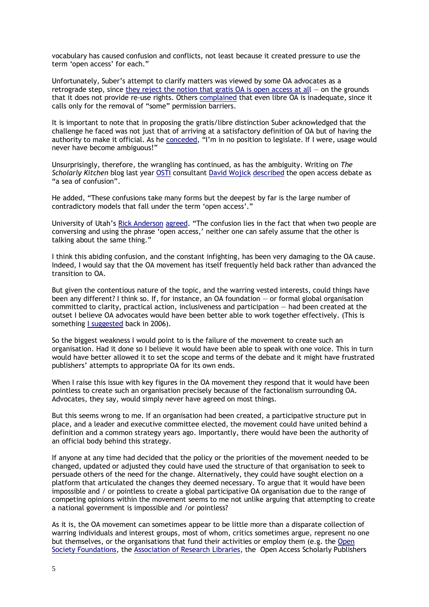vocabulary has caused confusion and conflicts, not least because it created pressure to use the term 'open access' for each."

Unfortunately, Suber's attempt to clarify matters was viewed by some OA advocates as a retrograde step, since they reject the notion that gratis  $OA$  is open access at all  $-$  on the grounds that it does not provide re-use rights. Others [complained](https://www.mail-archive.com/goal@eprints.org/msg08158.html) that even libre OA is inadequate, since it calls only for the removal of "some" permission barriers.

It is important to note that in proposing the gratis/libre distinction Suber acknowledged that the challenge he faced was not just that of arriving at a satisfactory definition of OA but of having the authority to make it official. As he [conceded,](http://legacy.earlham.edu/~peters/fos/newsletter/08-02-08.htm#gratis-libre) "I'm in no position to legislate. If I were, usage would never have become ambiguous!"

Unsurprisingly, therefore, the wrangling has continued, as has the ambiguity. Writing on *The Scholarly Kitchen* blog last year [OSTI](http://www.osti.gov/home/) consultant David [Wojick](http://scholarlykitchen.sspnet.org/author/dwojick/) [described](http://scholarlykitchen.sspnet.org/2013/11/11/open-access-on-the-sea-of-confusion/) the open access debate as "a sea of confusion".

He added, "These confusions take many forms but the deepest by far is the large number of contradictory models that fall under the term 'open access'."

University of Utah's [Rick Anderson](http://scholarlykitchen.sspnet.org/author/planxty/) [agreed.](http://scholarlykitchen.sspnet.org/2013/11/11/open-access-on-the-sea-of-confusion/#comment-116503) "The confusion lies in the fact that when two people are conversing and using the phrase 'open access,' neither one can safely assume that the other is talking about the same thing."

I think this abiding confusion, and the constant infighting, has been very damaging to the OA cause. Indeed, I would say that the OA movement has itself frequently held back rather than advanced the transition to OA.

But given the contentious nature of the topic, and the warring vested interests, could things have been any different? I think so. If, for instance, an OA foundation — or formal global organisation committed to clarity, practical action, inclusiveness and participation — had been created at the outset I believe OA advocates would have been better able to work together effectively. (This is something [I suggested](http://poynder.blogspot.co.uk/2006/03/where-is-open-access-foundation.html) back in 2006).

So the biggest weakness I would point to is the failure of the movement to create such an organisation. Had it done so I believe it would have been able to speak with one voice. This in turn would have better allowed it to set the scope and terms of the debate and it might have frustrated publishers' attempts to appropriate OA for its own ends.

When I raise this issue with key figures in the OA movement they respond that it would have been pointless to create such an organisation precisely because of the factionalism surrounding OA. Advocates, they say, would simply never have agreed on most things.

But this seems wrong to me. If an organisation had been created, a participative structure put in place, and a leader and executive committee elected, the movement could have united behind a definition and a common strategy years ago. Importantly, there would have been the authority of an official body behind this strategy.

If anyone at any time had decided that the policy or the priorities of the movement needed to be changed, updated or adjusted they could have used the structure of that organisation to seek to persuade others of the need for the change. Alternatively, they could have sought election on a platform that articulated the changes they deemed necessary. To argue that it would have been impossible and / or pointless to create a global participative OA organisation due to the range of competing opinions within the movement seems to me not unlike arguing that attempting to create a national government is impossible and /or pointless?

As it is, the OA movement can sometimes appear to be little more than a disparate collection of warring individuals and interest groups, most of whom, critics sometimes argue, represent no one but themselves, or the organisations that fund their activities or employ them (e.g. the [Open](http://en.wikipedia.org/wiki/Open_Society_Foundations)  [Society Foundations,](http://en.wikipedia.org/wiki/Open_Society_Foundations) the [Association of Research Libraries,](http://www.arl.org/) the Open Access Scholarly Publishers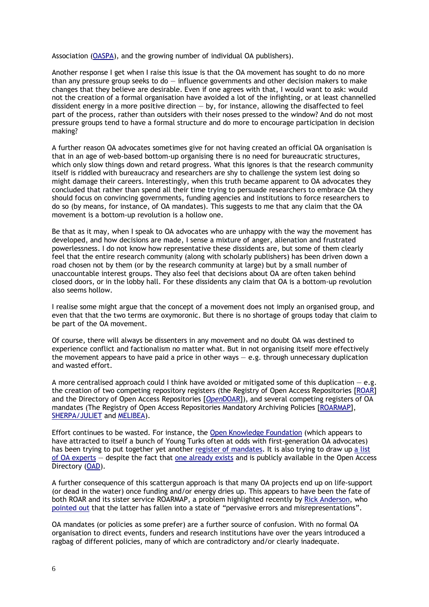Association [\(OASPA\)](http://oaspa.org/membership/members/), and the growing number of individual OA publishers).

Another response I get when I raise this issue is that the OA movement has sought to do no more than any pressure group seeks to  $d_0 - i$  influence governments and other decision makers to make changes that they believe are desirable. Even if one agrees with that, I would want to ask: would not the creation of a formal organisation have avoided a lot of the infighting, or at least channelled dissident energy in a more positive direction  $-$  by, for instance, allowing the disaffected to feel part of the process, rather than outsiders with their noses pressed to the window? And do not most pressure groups tend to have a formal structure and do more to encourage participation in decision making?

A further reason OA advocates sometimes give for not having created an official OA organisation is that in an age of web-based bottom-up organising there is no need for bureaucratic structures, which only slow things down and retard progress. What this ignores is that the research community itself is riddled with bureaucracy and researchers are shy to challenge the system lest doing so might damage their careers. Interestingly, when this truth became apparent to OA advocates they concluded that rather than spend all their time trying to persuade researchers to embrace OA they should focus on convincing governments, funding agencies and institutions to force researchers to do so (by means, for instance, of OA mandates). This suggests to me that any claim that the OA movement is a bottom-up revolution is a hollow one.

Be that as it may, when I speak to OA advocates who are unhappy with the way the movement has developed, and how decisions are made, I sense a mixture of anger, alienation and frustrated powerlessness. I do not know how representative these dissidents are, but some of them clearly feel that the entire research community (along with scholarly publishers) has been driven down a road chosen not by them (or by the research community at large) but by a small number of unaccountable interest groups. They also feel that decisions about OA are often taken behind closed doors, or in the lobby hall. For these dissidents any claim that OA is a bottom-up revolution also seems hollow.

I realise some might argue that the concept of a movement does not imply an organised group, and even that that the two terms are oxymoronic. But there is no shortage of groups today that claim to be part of the OA movement.

Of course, there will always be dissenters in any movement and no doubt OA was destined to experience conflict and factionalism no matter what. But in not organising itself more effectively the movement appears to have paid a price in other ways  $-$  e.g. through unnecessary duplication and wasted effort.

A more centralised approach could I think have avoided or mitigated some of this duplication  $-e.g.$ the creation of two competing repository registers (the Registry of Open Access Repositories [\[ROAR\]](http://roar.eprints.org/) and the Directory of Open Access Repositories [*Open*[DOAR\]](http://www.opendoar.org/find.php)), and several competing registers of OA mandates (The Registry of Open Access Repositories Mandatory Archiving Policies [\[ROARMAP\]](http://roarmap.eprints.org/), [SHERPA/JULIET](http://www.sherpa.ac.uk/juliet/) and [MELIBEA\)](http://www.accesoabierto.net/politicas/default.php?contenido=acerca).

Effort continues to be wasted. For instance, the [Open Knowledge Foundation](http://okfn.org/) (which appears to have attracted to itself a bunch of Young Turks often at odds with first-generation OA advocates) has been trying to put together yet another [register of mandates.](http://access.okfn.org/get-involved/oa-policies/) It is also trying to draw u[p a list](https://lists.okfn.org/pipermail/open-science/20140124/003038.html)  [of OA experts](https://lists.okfn.org/pipermail/open-science/20140124/003038.html) — despite the fact that [one already exists](https://lists.okfn.org/pipermail/open-science/20140124/003040.html) and is publicly available in the Open Access Directory [\(OAD\)](http://oad.simmons.edu/oadwiki/Main_Page).

A further consequence of this scattergun approach is that many OA projects end up on life-support (or dead in the water) once funding and/or energy dries up. This appears to have been the fate of both ROAR and its sister service ROARMAP, a problem highlighted recently by [Rick Anderson,](http://scholarlykitchen.sspnet.org/author/planxty/) who [pointed](http://scholarlykitchen.sspnet.org/2014/02/13/errors-and-misinformation-in-the-roarmap-open-access-registry/) out that the latter has fallen into a state of "pervasive errors and misrepresentations".

OA mandates (or policies as some prefer) are a further source of confusion. With no formal OA organisation to direct events, funders and research institutions have over the years introduced a ragbag of different policies, many of which are contradictory and/or clearly inadequate.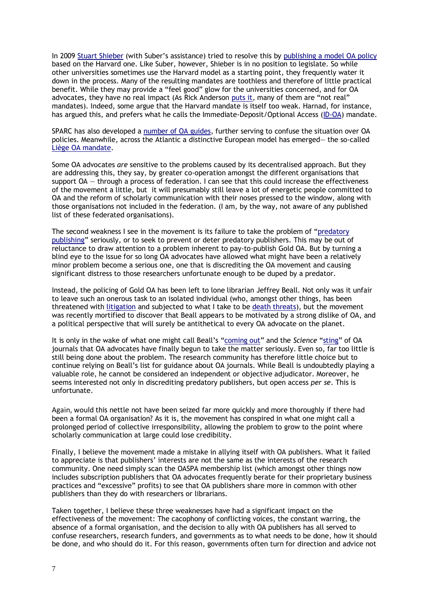In 2009 [Stuart Shieber](http://www.eecs.harvard.edu/shieber/) (with Suber's assistance) tried to resolve this by [publishing a model OA policy](https://osc.hul.harvard.edu/modelpolicy) based on the Harvard one. Like Suber, however, Shieber is in no position to legislate. So while other universities sometimes use the Harvard model as a starting point, they frequently water it down in the process. Many of the resulting mandates are toothless and therefore of little practical benefit. While they may provide a "feel good" glow for the universities concerned, and for OA advocates, they have no real impact (As Rick Anderson [puts it,](http://scholarlykitchen.sspnet.org/2014/02/12/open-access-mandates-and-open-access-mandates/) many of them are "not real" mandates). Indeed, some argue that the Harvard mandate is itself too weak. Harnad, for instance, has argued this, and prefers what he calls the Immediate-Deposit/Optional Access [\(ID-OA\)](http://openaccess.eprints.org/index.php?/archives/71-guid.html) mandate.

SPARC has also developed a [number of OA guides,](http://www.sparc.arl.org/resources/resource-type/papers-guides) further serving to confuse the situation over OA policies. Meanwhile, across the Atlantic a distinctive European model has emerged— the so-called [Liège OA mandate.](http://www.eprints.org/openaccess/policysignup/fullinfo.php?inst=Universit%C3%A9%20de%20Li%C3%A8ge)

Some OA advocates *are* sensitive to the problems caused by its decentralised approach. But they are addressing this, they say, by greater co-operation amongst the different organisations that support OA — through a process of federation. I can see that this could increase the effectiveness of the movement a little, but it will presumably still leave a lot of energetic people committed to OA and the reform of scholarly communication with their noses pressed to the window, along with those organisations not included in the federation. (I am, by the way, not aware of any published list of these federated organisations).

The second weakness I see in the movement is its failure to take the problem of "[predatory](http://scholarlyoa.com/2014/01/02/list-of-predatory-publishers-2014/)  [publishing](http://scholarlyoa.com/2014/01/02/list-of-predatory-publishers-2014/)" seriously, or to seek to prevent or deter predatory publishers. This may be out of reluctance to draw attention to a problem inherent to pay-to-publish Gold OA. But by turning a blind eye to the issue for so long OA advocates have allowed what might have been a relatively minor problem become a serious one, one that is discrediting the OA movement and causing significant distress to those researchers unfortunate enough to be duped by a predator.

Instead, the policing of Gold OA has been left to lone librarian Jeffrey Beall. Not only was it unfair to leave such an onerous task to an isolated individual (who, amongst other things, has been threatened with [litigation](http://chronicle.com/article/Publisher-Threatens-to-Sue/139243/) and subjected to what I take to be [death threats\)](https://www.google.com/search?q=If+somebody+kills+him%2C+he+will+absolve+the+Humanity+from+this+monster.&ie=utf-8&oe=utf-8&aq=t&q=If+somebody+kills+him%2C+he+will+absolve+the+Humanity+from+this+monster.&ie=utf-8&oe=utf-8&aq=t&channel=fflb&q=If+somebody+kills+him%2C+he+will+absolve+the+Humanity+from+this+monster.&ie=utf-8&oe=utf-8&aq=t&channel=rcs#q=beall+If+somebody+kills+him%2C+he+will+absolve+the+Humanity+from+this+monster.+If+somebody+kills+him%2C+he+will+absolve+the+Humanity+from+this+monster.+If+somebody+kills+him%2C+he+will+absolve+the+Humanity+from+this+monster.), but the movement was recently mortified to discover that Beall appears to be motivated by a strong dislike of OA, and a political perspective that will surely be antithetical to every OA advocate on the planet.

It is only in the wake of what one might call Beall's "[coming out](http://triplec.at/index.php/tripleC/article/view/525/514)" and the *Science* "[sting](http://www.sciencemag.org/content/342/6154/60.full)" of OA journals that OA advocates have finally begun to take the matter seriously. Even so, far too little is still being done about the problem. The research community has therefore little choice but to continue relying on Beall's list for guidance about OA journals. While Beall is undoubtedly playing a valuable role, he cannot be considered an independent or objective adjudicator. Moreover, he seems interested not only in discrediting predatory publishers, but open access *per se*. This is unfortunate.

Again, would this nettle not have been seized far more quickly and more thoroughly if there had been a formal OA organisation? As it is, the movement has conspired in what one might call a prolonged period of collective irresponsibility, allowing the problem to grow to the point where scholarly communication at large could lose credibility.

Finally, I believe the movement made a mistake in allying itself with OA publishers. What it failed to appreciate is that publishers' interests are not the same as the interests of the research community. One need simply scan the OASPA membership list (which amongst other things now includes subscription publishers that OA advocates frequently berate for their proprietary business practices and "excessive" profits) to see that OA publishers share more in common with other publishers than they do with researchers or librarians.

Taken together, I believe these three weaknesses have had a significant impact on the effectiveness of the movement: The cacophony of conflicting voices, the constant warring, the absence of a formal organisation, and the decision to ally with OA publishers has all served to confuse researchers, research funders, and governments as to what needs to be done, how it should be done, and who should do it. For this reason, governments often turn for direction and advice not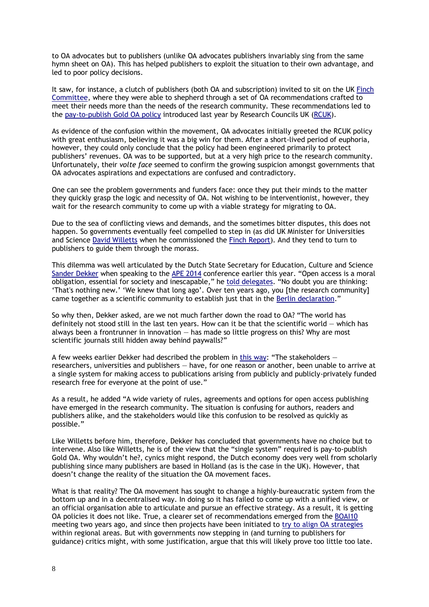to OA advocates but to publishers (unlike OA advocates publishers invariably sing from the same hymn sheet on OA). This has helped publishers to exploit the situation to their own advantage, and led to poor policy decisions.

It saw, for instance, a clutch of publishers (both OA and subscription) invited to sit on the UK [Finch](http://www.researchinfonet.org/publish/finch/)  [Committee,](http://www.researchinfonet.org/publish/finch/) where they were able to shepherd through a set of OA recommendations crafted to meet their needs more than the needs of the research community. These recommendations led to the [pay-to-publish Gold](http://www.rcuk.ac.uk/research/Pages/outputs.aspx) OA policy introduced last year by Research Councils UK [\(RCUK\)](http://www.rcuk.ac.uk/Pages/Home.aspx).

As evidence of the confusion within the movement, OA advocates initially greeted the RCUK policy with great enthusiasm, believing it was a big win for them. After a short-lived period of euphoria, however, they could only conclude that the policy had been engineered primarily to protect publishers' revenues. OA was to be supported, but at a very high price to the research community. Unfortunately, their *volte face* seemed to confirm the growing suspicion amongst governments that OA advocates aspirations and expectations are confused and contradictory.

One can see the problem governments and funders face: once they put their minds to the matter they quickly grasp the logic and necessity of OA. Not wishing to be interventionist, however, they wait for the research community to come up with a viable strategy for migrating to OA.

Due to the sea of conflicting views and demands, and the sometimes bitter disputes, this does not happen. So governments eventually feel compelled to step in (as did UK Minister for Universities and Science [David Willetts](http://www.davidwilletts.co.uk/) when he commissioned the [Finch Report\)](http://www.researchinfonet.org/publish/finch/). And they tend to turn to publishers to guide them through the morass.

This dilemma was well articulated by the Dutch State Secretary for Education, Culture and Science [Sander Dekker](http://en.wikipedia.org/wiki/Sander_Dekker) when speaking to the [APE 2014](http://www.ape2014.eu/) conference earlier this year. "Open access is a moral obligation, essential for society and inescapable," he [told delegates](http://www.rijksoverheid.nl/documenten-en-publicaties/toespraken/2014/01/28/open-acess-going-for-gold.html). "No doubt you are thinking: 'That's nothing new.' 'We knew that long ago'. Over ten years ago, you [the research community] came together as a scientific community to establish just that in the [Berlin declaration.](http://www.rijksoverheid.nl/documenten-en-publicaties/toespraken/2014/01/28/open-acess-going-for-gold.html)"

So why then, Dekker asked, are we not much farther down the road to OA? "The world has definitely not stood still in the last ten years. How can it be that the scientific world — which has always been a frontrunner in innovation — has made so little progress on this? Why are most scientific journals still hidden away behind paywalls?"

A few weeks earlier Dekker had described the problem in [this way:](http://www.government.nl/documents-and-publications/parliamentary-documents/2014/01/21/open-access-to-publications.html) "The stakeholders  $$ researchers, universities and publishers — have, for one reason or another, been unable to arrive at a single system for making access to publications arising from publicly and publicly-privately funded research free for everyone at the point of use."

As a result, he added "A wide variety of rules, agreements and options for open access publishing have emerged in the research community. The situation is confusing for authors, readers and publishers alike, and the stakeholders would like this confusion to be resolved as quickly as possible."

Like Willetts before him, therefore, Dekker has concluded that governments have no choice but to intervene. Also like Willetts, he is of the view that the "single system" required is pay-to-publish Gold OA. Why wouldn't he?, cynics might respond, the Dutch economy does very well from scholarly publishing since many publishers are based in Holland (as is the case in the UK). However, that doesn't change the reality of the situation the OA movement faces.

What is that reality? The OA movement has sought to change a highly-bureaucratic system from the bottom up and in a decentralised way. In doing so it has failed to come up with a unified view, or an official organisation able to articulate and pursue an effective strategy. As a result, it is getting OA policies it does not like. True, a clearer set of recommendations emerged from the [BOAI10](http://www.budapestopenaccessinitiative.org/boai-10-recommendations) meeting two years ago, and since then projects have been initiated to [try to align OA strategies](http://www.pasteur4oa.eu/) within regional areas. But with governments now stepping in (and turning to publishers for guidance) critics might, with some justification, argue that this will likely prove too little too late.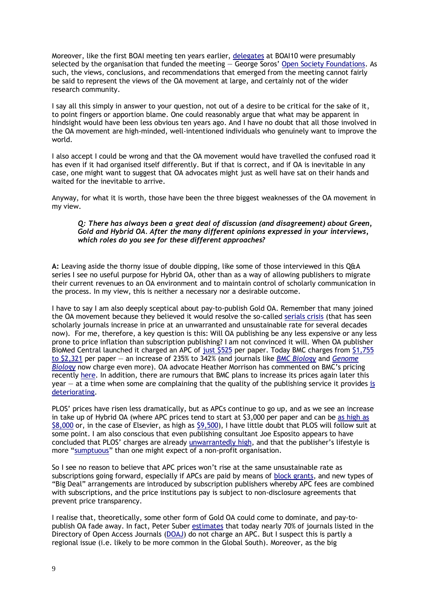Moreover, like the first BOAI meeting ten years earlier, [delegates](http://www.budapestopenaccessinitiative.org/participants) at BOAI10 were presumably selected by the organisation that funded the meeting — George Soros' [Open Society Foundations.](http://www.opensocietyfoundations.org/press-releases/scientists-foundations-libraries-universities-and-advocates-unite-and-issue-new) As such, the views, conclusions, and recommendations that emerged from the meeting cannot fairly be said to represent the views of the OA movement at large, and certainly not of the wider research community.

I say all this simply in answer to your question, not out of a desire to be critical for the sake of it, to point fingers or apportion blame. One could reasonably argue that what may be apparent in hindsight would have been less obvious ten years ago. And I have no doubt that all those involved in the OA movement are high-minded, well-intentioned individuals who genuinely want to improve the world.

I also accept I could be wrong and that the OA movement would have travelled the confused road it has even if it had organised itself differently. But if that is correct, and if OA is inevitable in any case, one might want to suggest that OA advocates might just as well have sat on their hands and waited for the inevitable to arrive.

Anyway, for what it is worth, those have been the three biggest weaknesses of the OA movement in my view.

#### *Q: There has always been a great deal of discussion (and disagreement) about Green, Gold and Hybrid OA. After the many different opinions expressed in your interviews, which roles do you see for these different approaches?*

**A:** Leaving aside the thorny issue of double dipping, like some of those interviewed in this Q&A series I see no useful purpose for Hybrid OA, other than as a way of allowing publishers to migrate their current revenues to an OA environment and to maintain control of scholarly communication in the process. In my view, this is neither a necessary nor a desirable outcome.

I have to say I am also deeply sceptical about pay-to-publish Gold OA. Remember that many joined the OA movement because they believed it would resolve the so-called [serials crisis](http://en.wikipedia.org/wiki/Serials_crisis) (that has seen scholarly journals increase in price at an unwarranted and unsustainable rate for several decades now). For me, therefore, a key question is this: Will OA publishing be any less expensive or any less prone to price inflation than subscription publishing? I am not convinced it will. When OA publisher BioMed Central launched it charged an APC of [just \\$525](http://www.ncbi.nlm.nih.gov/pmc/articles/PMC317385/) per paper. Today BMC charges from [\\$1,755](http://www.biomedcentral.com/about/apccomparison/)  [to \\$2,321](http://www.biomedcentral.com/about/apccomparison/) per paper — an increase of 235% to 342% (and journals like *[BMC Biology](http://www.biomedcentral.com/bmcbiol/about)* and *[Genome](file:///C:/Users/Neil/Documents/My%20Dropbox/1RickyP/Where%20are%20We/v)  [Biology](file:///C:/Users/Neil/Documents/My%20Dropbox/1RickyP/Where%20are%20We/v)* now charge even more). OA advocate Heather Morrison has commented on BMC's pricing recently [here.](http://poeticeconomics.blogspot.co.uk/2014/02/the-dramatic-growth-of-biomedcentral.html?m=1) In addition, there are rumours that BMC plans to increase its prices again later this  $year - at a time when some are complaining that the quality of the publishing service it provides is$ [deteriorating.](http://mailman.ecs.soton.ac.uk/pipermail/goal/2014-March/002687.html)

PLOS' prices have risen less dramatically, but as APCs continue to go up, and as we see an increase in take up of Hybrid OA (where APC prices tend to start at \$3,000 per paper and can be [as high as](http://journals.lww.com/jrnldbp/Citation/2014/02000/The_Tsunami_of_Open_Access.12.aspx)  [\\$8,000](http://journals.lww.com/jrnldbp/Citation/2014/02000/The_Tsunami_of_Open_Access.12.aspx) or, in the case of Elsevier, as high as [\\$9,500\)](http://figshare.com/articles/Wellcome_Trust_APC_spend_2012_13_data_file/963054), I have little doubt that PLOS will follow suit at some point. I am also conscious that even publishing consultant Joe Esposito appears to have concluded that PLOS' charges are already [unwarrantedly high,](http://listserv.crl.edu/wa.exe?A2=LIBLICENSE-L;e0459f04.1203) and that the publisher's lifestyle is more "[sumptuous](http://listserv.crl.edu/wa.exe?A2=LIBLICENSE-L;e0459f04.1203)" than one might expect of a non-profit organisation.

So I see no reason to believe that APC prices won't rise at the same unsustainable rate as subscriptions going forward, especially if APCs are paid by means of [block grants,](http://www.rcuk.ac.uk/media/news/2012news/Pages/121108.aspx) and new types of "Big Deal" arrangements are introduced by subscription publishers whereby APC fees are combined with subscriptions, and the price institutions pay is subject to non-disclosure agreements that prevent price transparency.

I realise that, theoretically, some other form of Gold OA could come to dominate, and pay-topublish OA fade away. In fact, Peter Suber [estimates](http://poynder.blogspot.co.uk/2013/07/peter-suber-on-state-of-open-access.html) that today nearly 70% of journals listed in the Directory of Open Access Journals [\(DOAJ\)](http://www.doaj.org/) do not charge an APC. But I suspect this is partly a regional issue (i.e. likely to be more common in the Global South). Moreover, as the big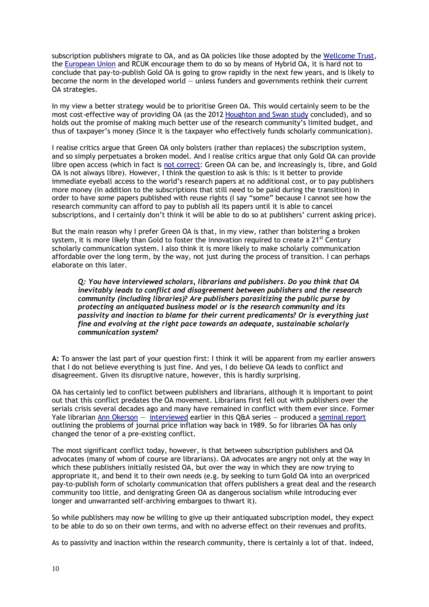subscription publishers migrate to OA, and as OA policies like those adopted by the [Wellcome Trust,](http://www.wellcome.ac.uk/About-us/Policy/Policy-and-position-statements/WTD002766.htm) the [European Union](http://ec.europa.eu/research/participants/data/ref/h2020/grants_manual/hi/oa_pilot/h2020-hi-oa-pilot-guide_en.pdf) and RCUK encourage them to do so by means of Hybrid OA, it is hard not to conclude that pay-to-publish Gold OA is going to grow rapidly in the next few years, and is likely to become the norm in the developed world — unless funders and governments rethink their current OA strategies.

In my view a better strategy would be to prioritise Green OA. This would certainly seem to be the most cost-effective way of providing OA (as the 2012 [Houghton and Swan](http://repository.jisc.ac.uk/610/2/Modelling_Gold_Open_Access_for_institutions_-_final_draft3.pdf) study concluded), and so holds out the promise of making much better use of the research community's limited budget, and thus of taxpayer's money (Since it is the taxpayer who effectively funds scholarly communication).

I realise critics argue that Green OA only bolsters (rather than replaces) the subscription system, and so simply perpetuates a broken model. And I realise critics argue that only Gold OA can provide libre open access (which in fact is [not correct:](http://legacy.earlham.edu/~peters/fos/newsletter/06-02-12.htm#libre) Green OA can be, and increasingly is, libre, and Gold OA is not always libre). However, I think the question to ask is this: is it better to provide immediate eyeball access to the world's research papers at no additional cost, or to pay publishers more money (in addition to the subscriptions that still need to be paid during the transition) in order to have *some* papers published with reuse rights (I say "some" because I cannot see how the research community can afford to pay to publish all its papers until it is able to cancel subscriptions, and I certainly don't think it will be able to do so at publishers' current asking price).

But the main reason why I prefer Green OA is that, in my view, rather than bolstering a broken system, it is more likely than Gold to foster the innovation required to create a  $21^{st}$  Century scholarly communication system. I also think it is more likely to make scholarly communication affordable over the long term, by the way, not just during the process of transition. I can perhaps elaborate on this later.

*Q: You have interviewed scholars, librarians and publishers. Do you think that OA inevitably leads to conflict and disagreement between publishers and the research community (including libraries)? Are publishers parasitizing the public purse by protecting an antiquated business model or is the research community and its passivity and inaction to blame for their current predicaments? Or is everything just fine and evolving at the right pace towards an adequate, sustainable scholarly communication system?*

**A:** To answer the last part of your question first: I think it will be apparent from my earlier answers that I do not believe everything is just fine. And yes, I do believe OA leads to conflict and disagreement. Given its disruptive nature, however, this is hardly surprising.

OA has certainly led to conflict between publishers and librarians, although it is important to point out that this conflict predates the OA movement. Librarians first fell out with publishers over the serials crisis several decades ago and many have remained in conflict with them ever since. Former Yale librarian [Ann Okerson](http://en.wikipedia.org/wiki/Ann_Shumelda_Okerson) - [interviewed](http://poynder.blogspot.co.uk/2013/11/ann-okerson-on-state-of-open-access.html) earlier in this Q&A series - produced a [seminal report](http://books.google.co.uk/books?id=xuXgAAAAMAAJ&printsec=frontcover&source=gbs_ge_summary_r&redir_esc=y#v=onepage&q&f=false) outlining the problems of journal price inflation way back in 1989. So for libraries OA has only changed the tenor of a pre-existing conflict.

The most significant conflict today, however, is that between subscription publishers and OA advocates (many of whom of course are librarians). OA advocates are angry not only at the way in which these publishers initially resisted OA, but over the way in which they are now trying to appropriate it, and bend it to their own needs (e.g. by seeking to turn Gold OA into an overpriced pay-to-publish form of scholarly communication that offers publishers a great deal and the research community too little, and denigrating Green OA as dangerous socialism while introducing ever longer and unwarranted self-archiving embargoes to thwart it).

So while publishers may now be willing to give up their antiquated subscription model, they expect to be able to do so on their own terms, and with no adverse effect on their revenues and profits.

As to passivity and inaction within the research community, there is certainly a lot of that. Indeed,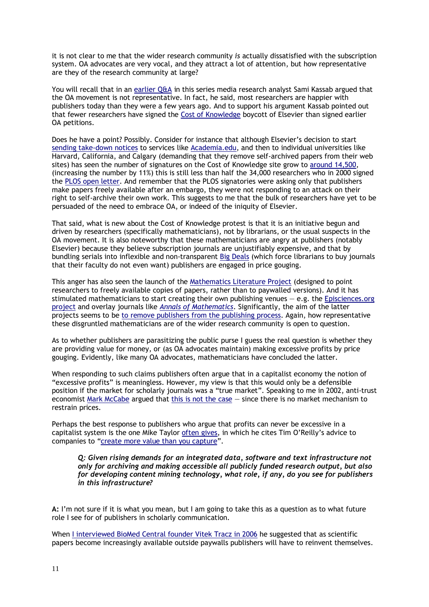it is not clear to me that the wider research community *is* actually dissatisfied with the subscription system. OA advocates are very vocal, and they attract a lot of attention, but how representative are they of the research community at large?

You will recall that in an [earlier Q&A](http://poynder.blogspot.co.uk/2013/10/media-research-analyst-at-exane-bnp.html) in this series media research analyst Sami Kassab argued that the OA movement is not representative. In fact, he said, most researchers are happier with publishers today than they were a few years ago. And to support his argument Kassab pointed out that fewer researchers have signed the [Cost of Knowledge](http://thecostofknowledge.com/) boycott of Elsevier than signed earlier OA petitions.

Does he have a point? Possibly. Consider for instance that although Elsevier's decision to start [sending take-down notices](http://www.mmm-online.com/elsevier-sends-wave-of-takedown-requests/article/327060/) to services like [Academia.edu,](http://www.academia.edu/) and then to individual universities like Harvard, California, and Calgary (demanding that they remove self-archived papers from their web sites) has seen the number of signatures on the Cost of Knowledge site grow to [around 14,500,](http://thecostofknowledge.com/) (increasing the number by 11%) this is still less than half the 34,000 researchers who in 2000 signed the [PLOS open letter.](http://www.plos.org/about/plos/history/) And remember that the PLOS signatories were asking only that publishers make papers freely available after an embargo, they were not responding to an attack on their right to self-archive their own work. This suggests to me that the bulk of researchers have yet to be persuaded of the need to embrace OA, or indeed of the iniquity of Elsevier.

That said, what is new about the Cost of Knowledge protest is that it is an initiative begun and driven by researchers (specifically mathematicians), not by librarians, or the usual suspects in the OA movement. It is also noteworthy that these mathematicians are angry at publishers (notably Elsevier) because they believe subscription journals are unjustifiably expensive, and that by bundling serials into inflexible and non-transparent [Big Deals](http://www.infotoday.com/it/sep11/The-Big-Deal-Not-Price-But-Cost.shtml) (which force librarians to buy journals that their faculty do not even want) publishers are engaged in price gouging.

This anger has also seen the launch of the [Mathematics Literature Project](http://tqft.net/mlp/wiki/The_Mathematics_Literature_Project) (designed to point researchers to freely available copies of papers, rather than to paywalled versions). And it has stimulated mathematicians to start creating their own publishing venues — e.g. the [Episciences.org](http://episciences.org/)  [project](http://episciences.org/) and overlay journals like *[Annals of Mathematics](http://annals.math.princeton.edu/)*. Significantly, the aim of the latter projects seems to be to remove [publishers from the](http://www.nature.com/news/mathematicians-aim-to-take-publishers-out-of-publishing-1.12243) publishing process. Again, how representative these disgruntled mathematicians are of the wider research community is open to question.

As to whether publishers are parasitizing the public purse I guess the real question is whether they are providing value for money, or (as OA advocates maintain) making excessive profits by price gouging. Evidently, like many OA advocates, mathematicians have concluded the latter.

When responding to such claims publishers often argue that in a capitalist economy the notion of "excessive profits" is meaningless. However, my view is that this would only be a defensible position if the market for scholarly journals was a "true market". Speaking to me in 2002, anti-trust economist [Mark McCabe](http://mccabe.people.si.umich.edu/) argued that [this is not the case](http://www.infotoday.com/it/dec02/poynder.htm) — since there is no market mechanism to restrain prices.

Perhaps the best response to publishers who argue that profits can never be excessive in a capitalist system is the one Mike Taylor often [gives,](https://twitter.com/ceptional/status/413559093475811328) in which he cites Tim O'Reilly's advice to companies to "[create more value than you capture](http://contently.com/strategist/2012/04/06/tim-oreilly-value-creation/)".

*Q: Given rising demands for an integrated data, software and text infrastructure not only for archiving and making accessible all publicly funded research output, but also for developing content mining technology, what role, if any, do you see for publishers in this infrastructure?*

**A:** I'm not sure if it is what you mean, but I am going to take this as a question as to what future role I see for of publishers in scholarly communication.

When [I interviewed BioMed Central founder Vitek Tracz in 2006](http://poynder.blogspot.co.uk/2006/05/interview-with-vitek-tracz.html) he suggested that as scientific papers become increasingly available outside paywalls publishers will have to reinvent themselves.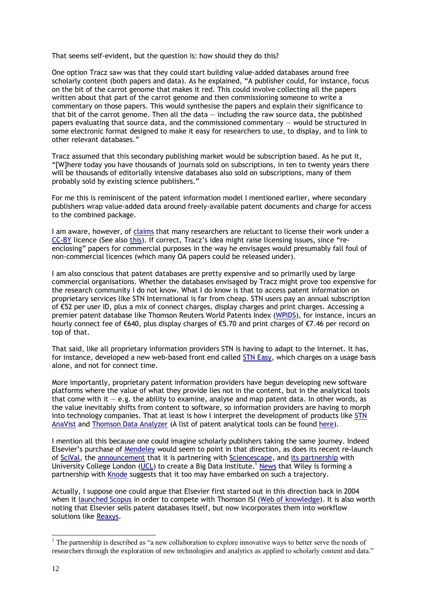That seems self-evident, but the question is: how should they do this?

One option Tracz saw was that they could start building value-added databases around free scholarly content (both papers and data). As he explained, "A publisher could, for instance, focus on the bit of the carrot genome that makes it red. This could involve collecting all the papers written about that part of the carrot genome and then commissioning someone to write a commentary on those papers. This would synthesise the papers and explain their significance to that bit of the carrot genome. Then all the data  $-$  including the raw source data, the published papers evaluating that source data, and the commissioned commentary — would be structured in some electronic format designed to make it easy for researchers to use, to display, and to link to other relevant databases."

Tracz assumed that this secondary publishing market would be subscription based. As he put it, "[W]here today you have thousands of journals sold on subscriptions, in ten to twenty years there will be thousands of editorially intensive databases also sold on subscriptions, many of them probably sold by existing science publishers."

For me this is reminiscent of the patent information model I mentioned earlier, where secondary publishers wrap value-added data around freely-available patent documents and charge for access to the combined package.

I am aware, however, of [claims](http://www.nature.com/news/researchers-opt-to-limit-uses-of-open-access-publications-1.12384) that many researchers are reluctant to license their work under a [CC-BY](http://creativecommons.org/licenses/by/1.0/) licence (See also [this\)](http://www.materialworldblog.com/2014/01/picturing-authors-views-on-open-access-publishing/). If correct, Tracz's idea might raise licensing issues, since "reenclosing" papers for commercial purposes in the way he envisages would presumably fall foul of non-commercial licences (which many OA papers could be released under).

I am also conscious that patent databases are pretty expensive and so primarily used by large commercial organisations. Whether the databases envisaged by Tracz might prove too expensive for the research community I do not know. What I do know is that to access patent information on proprietary services like STN International is far from cheap. STN users pay an annual subscription of €52 per user ID, plus a mix of connect charges, display charges and print charges. Accessing a premier patent database like Thomson Reuters World Patents Index [\(WPIDS\)](http://www.fiz-karlsruhe.de/database.html?&no_cache=1&tx_ptgsashop_pi2%5basv_id%5d=243&tx_ptgsashop_pi2%5basv_hash%5d=32bfdb3550cd67914d89cbefaa884e6b), for instance, incurs an hourly connect fee of €640, plus display charges of €5.70 and print charges of €7.46 per record on top of that.

That said, like all proprietary information providers STN is having to adapt to the Internet. It has, for instance, developed a new web-based front end called [STN Easy,](https://stneasy.fiz-karlsruhe.de/html/english/login1.html) which charges on a usage basis alone, and not for connect time.

More importantly, proprietary patent information providers have begun developing new software platforms where the value of what they provide lies not in the content, but in the analytical tools that come with it  $-$  e.g. the ability to examine, analyse and map patent data. In other words, as the value inevitably shifts from content to software, so information providers are having to morph into technology companies. That at least is how I interpret the development of products like [STN](http://www.cas.org/products/stn/anavist)  [AnaVist](http://www.cas.org/products/stn/anavist) and [Thomson Data Analyzer](http://thomsonreuters.com/thomson-data-analyzer/) (A list of patent analytical tools can be found [here\)](http://wiki.piug.org/display/PIUG/Patent+Analysis,+Mapping,+and+Visualization+Tools).

I mention all this because one could imagine scholarly publishers taking the same journey. Indeed Elsevier's purchase of [Mendeley](http://www.mendeley.com/) would seem to point in that direction, as does its recent re-launch of [SciVal,](http://info.scival.com/) the [announcement](http://bambooinnovator.com/2014/01/17/academic-research-platform-sciencescape-raises-2-5m-partners-with-educational-publisher-elsevier/) that it is partnering with [Sciencescape,](http://sciencescape.org/) an[d its partnership](http://www.ucl.ac.uk/news/news-articles/1213/UCL_Elsevier_partnership_181213) with University College London [\(UCL\)](http://www.ucl.ac.uk/) to create a Big Data Institute.<sup>1</sup> [News](http://eu.wiley.com/WileyCDA/PressRelease/pressReleaseId-110080.html) that Wiley is forming a partnership with [Knode](http://knodeinc.com/) suggests that it too may have embarked on such a trajectory.

Actually, I suppose one could argue that Elsevier first started out in this direction back in 2004 when it [launched Scopus](http://newsbreaks.infotoday.com/nbreader.asp?ArticleID=1633) in order to compete with Thomson ISI [\(Web of knowledge\)](http://wokinfo.com/). It is also worth noting that Elsevier sells patent databases itself, but now incorporates them into workflow solutions like [Reaxys.](http://www.elsevier.com/online-tools/reaxys)

-

 $<sup>1</sup>$  The partnership is described as "a new collaboration to explore innovative ways to better serve the needs of</sup> researchers through the exploration of new technologies and analytics as applied to scholarly content and data."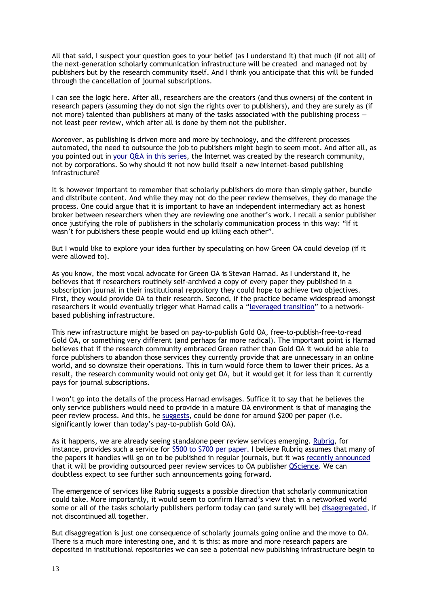All that said, I suspect your question goes to your belief (as I understand it) that much (if not all) of the next-generation scholarly communication infrastructure will be created and managed not by publishers but by the research community itself. And I think you anticipate that this will be funded through the cancellation of journal subscriptions.

I can see the logic here. After all, researchers are the creators (and thus owners) of the content in research papers (assuming they do not sign the rights over to publishers), and they are surely as (if not more) talented than publishers at many of the tasks associated with the publishing process not least peer review, which after all is done by them not the publisher.

Moreover, as publishing is driven more and more by technology, and the different processes automated, the need to outsource the job to publishers might begin to seem moot. And after all, as you pointed out in [your Q&A in this series,](http://poynder.blogspot.co.uk/2013/09/bjorn-brembs-on-state-of-open-access.html) the Internet was created by the research community, not by corporations. So why should it not now build itself a new Internet-based publishing infrastructure?

It is however important to remember that scholarly publishers do more than simply gather, bundle and distribute content. And while they may not do the peer review themselves, they do manage the process. One could argue that it is important to have an independent intermediary act as honest broker between researchers when they are reviewing one another's work. I recall a senior publisher once justifying the role of publishers in the scholarly communication process in this way: "If it wasn't for publishers these people would end up killing each other".

But I would like to explore your idea further by speculating on how Green OA could develop (if it were allowed to).

As you know, the most vocal advocate for Green OA is Stevan Harnad. As I understand it, he believes that if researchers routinely self-archived a copy of every paper they published in a subscription journal in their institutional repository they could hope to achieve two objectives. First, they would provide OA to their research. Second, if the practice became widespread amongst researchers it would eventually trigger what Harnad calls a "[leveraged transition](http://users.ecs.soton.ac.uk/harnad/Temp/greenroad.html)" to a networkbased publishing infrastructure.

This new infrastructure might be based on pay-to-publish Gold OA, free-to-publish-free-to-read Gold OA, or something very different (and perhaps far more radical). The important point is Harnad believes that if the research community embraced Green rather than Gold OA it would be able to force publishers to abandon those services they currently provide that are unnecessary in an online world, and so downsize their operations. This in turn would force them to lower their prices. As a result, the research community would not only get OA, but it would get it for less than it currently pays for journal subscriptions.

I won't go into the details of the process Harnad envisages. Suffice it to say that he believes the only service publishers would need to provide in a mature OA environment is that of managing the peer review process. And this, he [suggests,](http://www.dlib.org/dlib/july10/harnad/07harnad.html) could be done for around \$200 per paper (i.e. significantly lower than today's pay-to-publish Gold OA).

As it happens, we are already seeing standalone peer review services emerging. [Rubriq,](http://www.rubriq.com/) for instance, provides such a service for [\\$500 to \\$700 per paper.](http://www.rubriq.com/how/pricing/) I believe Rubriq assumes that many of the papers it handles will go on to be published in regular journals, but it was [recently announced](http://www.heraldonline.com/2014/02/18/5688401/qscience-will-use-rubriqs-standardized.html) that it will be providing outsourced peer review services to OA publisher [QScience.](http://www.qscience.com/) We can doubtless expect to see further such announcements going forward.

The emergence of services like Rubriq suggests a possible direction that scholarly communication could take. More importantly, it would seem to confirm Harnad's view that in a networked world some or all of the tasks scholarly publishers perform today can (and surely will be) [disaggregated,](http://kar.kent.ac.uk/4/) if not discontinued all together.

But disaggregation is just one consequence of scholarly journals going online and the move to OA. There is a much more interesting one, and it is this: as more and more research papers are deposited in institutional repositories we can see a potential new publishing infrastructure begin to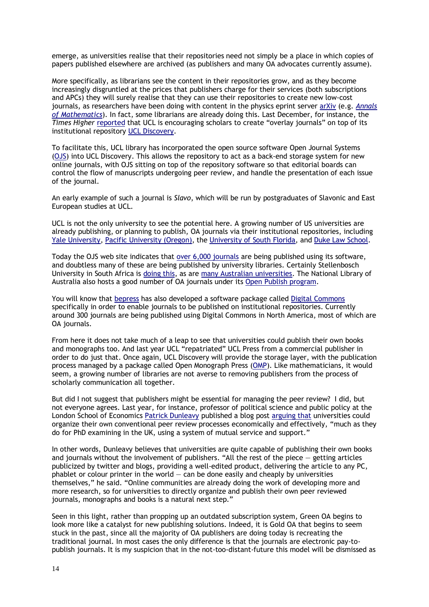emerge, as universities realise that their repositories need not simply be a place in which copies of papers published elsewhere are archived (as publishers and many OA advocates currently assume).

More specifically, as librarians see the content in their repositories grow, and as they become increasingly disgruntled at the prices that publishers charge for their services (both subscriptions and APCs) they will surely realise that they can use their repositories to create new low-cost journals, as researchers have been doing with content in the physics eprint server [arXiv](http://arxiv.org/) (e.g. *[Annals](http://annals.math.princeton.edu/)  [of Mathematics](http://annals.math.princeton.edu/)*). In fact, some librarians are already doing this. Last December, for instance, the *Times Higher* [reported](http://www.timeshighereducation.co.uk/news/ucl-presses-ahead-with-open-access/2009926.article) that UCL is encouraging scholars to create "overlay journals" on top of its institutional repository [UCL Discovery.](http://discovery.ucl.ac.uk/)

To facilitate this, UCL library has incorporated the open source software Open Journal Systems [\(OJS\)](http://pkp.sfu.ca/ojs/) into UCL Discovery. This allows the repository to act as a back-end storage system for new online journals, with OJS sitting on top of the repository software so that editorial boards can control the flow of manuscripts undergoing peer review, and handle the presentation of each issue of the journal.

An early example of such a journal is *Slavo*, which will be run by postgraduates of Slavonic and East European studies at UCL.

UCL is not the only university to see the potential here. A growing number of US universities are already publishing, or planning to publish, OA journals via their institutional repositories, including [Yale University,](http://www.youtube.com/watch?v=6T7_3IRdOYI&feature=youtu.be%5d) [Pacific University \(Oregon\),](http://jlsc-pub.org/jlsc/) th[e University of South Florida,](http://scholarcommons.usf.edu/abo/) and [Duke Law School.](http://scholarship.law.duke.edu/delpf/)

Today the OJS web site indicates that [over 6,000 journals](http://pkp.sfu.ca/ojs/ojs-usage/ojs-map/) are being published using its software, and doubtless many of these are being published by university libraries. Certainly Stellenbosch University in South Africa is [doing this,](http://library.sun.ac.za/English/services/oa/Pages/sunjournals.aspx) as are [many Australian universities.](http://aoasg.org.au/open-access-in-action/australian-oa-journals/) The National Library of Australia also hosts a good number of OA journals under its [Open Publish program.](file:///C:/Users/Richard/Dropbox/1RickyP/1Where%20are%20We/The%20National%20Library%20of%20Australia%20hosts%20many%20open%20access%20journals%20through%20its%20Open%20Publish%20program,%20which%20uses%20the%20Open%20Journals%20System)

You will know that [bepress](http://www.bepress.com/) has also developed a software package calle[d Digital Commons](http://digitalcommons.bepress.com/) specifically in order to enable journals to be published on institutional repositories. Currently around 300 journals are being published using Digital Commons in North America, most of which are OA journals.

From here it does not take much of a leap to see that universities could publish their own books and monographs too. And last year UCL "repatriated" UCL Press from a commercial publisher in order to do just that. Once again, UCL Discovery will provide the storage layer, with the publication process managed by a package called Open Monograph Press [\(OMP\)](http://pkp.sfu.ca/omp/). Like mathematicians, it would seem, a growing number of libraries are not averse to removing publishers from the process of scholarly communication all together.

But did I not suggest that publishers might be essential for managing the peer review? I did, but not everyone agrees. Last year, for instance, professor of political science and public policy at the London School of Economics [Patrick Dunleavy](http://www.lse.ac.uk/researchAndExpertise/Experts/profile.aspx?KeyValue=p.dunleavy%40lse.ac.uk) published a blog post [arguing](http://blogs.lse.ac.uk/impactofsocialsciences/2013/10/17/industry-rethink-open-access-prices/) that universities could organize their own conventional peer review processes economically and effectively, "much as they do for PhD examining in the UK, using a system of mutual service and support."

In other words, Dunleavy believes that universities are quite capable of publishing their own books and journals without the involvement of publishers. "All the rest of the piece  $-$  getting articles publicized by twitter and blogs, providing a well-edited product, delivering the article to any PC, phablet or colour printer in the world  $-$  can be done easily and cheaply by universities themselves," he said. "Online communities are already doing the work of developing more and more research, so for universities to directly organize and publish their own peer reviewed journals, monographs and books is a natural next step."

Seen in this light, rather than propping up an outdated subscription system, Green OA begins to look more like a catalyst for new publishing solutions. Indeed, it is Gold OA that begins to seem stuck in the past, since all the majority of OA publishers are doing today is recreating the traditional journal. In most cases the only difference is that the journals are electronic pay-topublish journals. It is my suspicion that in the not-too-distant-future this model will be dismissed as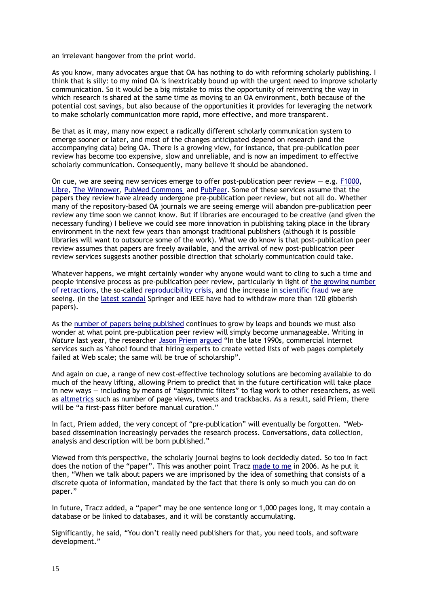an irrelevant hangover from the print world.

As you know, many advocates argue that OA has nothing to do with reforming scholarly publishing. I think that is silly: to my mind OA is inextricably bound up with the urgent need to improve scholarly communication. So it would be a big mistake to miss the opportunity of reinventing the way in which research is shared at the same time as moving to an OA environment, both because of the potential cost savings, but also because of the opportunities it provides for leveraging the network to make scholarly communication more rapid, more effective, and more transparent.

Be that as it may, many now expect a radically different scholarly communication system to emerge sooner or later, and most of the changes anticipated depend on research (and the accompanying data) being OA. There is a growing view, for instance, that pre-publication peer review has become too expensive, slow and unreliable, and is now an impediment to effective scholarly communication. Consequently, many believe it should be abandoned.

On cue, we are seeing new services emerge to offer post-publication peer review  $-$  e.g. [F1000,](http://f1000research.com/) [Libre,](http://www.openscholar.org.uk/libre/) [The Winnower,](http://thewinnower.com/) [PubMed Commons](http://www.ncbi.nlm.nih.gov/pubmedcommons) and [PubPeer.](https://pubpeer.com/) Some of these services assume that the papers they review have already undergone pre-publication peer review, but not all do. Whether many of the repository-based OA journals we are seeing emerge will abandon pre-publication peer review any time soon we cannot know. But if libraries are encouraged to be creative (and given the necessary funding) I believe we could see more innovation in publishing taking place in the library environment in the next few years than amongst traditional publishers (although it is possible libraries will want to outsource some of the work). What we do know is that post-publication peer review assumes that papers are freely available, and the arrival of new post-publication peer review services suggests another possible direction that scholarly communication could take.

Whatever happens, we might certainly wonder why anyone would want to cling to such a time and people intensive process as pre-publication peer review, particularly in light of [the growing number](http://www.nature.com/news/2011/111005/full/478026a/box/2.html)  [of retractions,](http://www.nature.com/news/2011/111005/full/478026a/box/2.html) the so-called [reproducibility crisis,](http://theconversation.com/science-is-in-a-reproducibility-crisis-how-do-we-resolve-it-16998) and the increase in [scientific fraud](http://www.cbsnews.com/news/study-scientific-research-fraud-on-the-rise/) we are seeing. (In the [latest scandal](http://www.nature.com/news/publishers-withdraw-more-than-120-gibberish-papers-1.14763) Springer and IEEE have had to withdraw more than 120 gibberish papers).

As the [number of papers being published](http://www.nlm.nih.gov/bsd/medline_cit_counts_yr_pub.html) continues to grow by leaps and bounds we must also wonder at what point pre-publication peer review will simply become unmanageable. Writing in *Nature* last year, the researcher [Jason Priem](http://jasonpriem.org/) [argued](http://www.nature.com/nature/journal/v495/n7442/full/495437a.html) "In the late 1990s, commercial Internet services such as Yahoo! found that hiring experts to create vetted lists of web pages completely failed at Web scale; the same will be true of scholarship".

And again on cue, a range of new cost-effective technology solutions are becoming available to do much of the heavy lifting, allowing Priem to predict that in the future certification will take place in new ways — including by means of "algorithmic filters" to flag work to other researchers, as well as [altmetrics](http://altmetrics.org/manifesto/) such as number of page views, tweets and trackbacks. As a result, said Priem, there will be "a first-pass filter before manual curation."

In fact, Priem added, the very concept of "pre-publication" will eventually be forgotten. "Webbased dissemination increasingly pervades the research process. Conversations, data collection, analysis and description will be born published."

Viewed from this perspective, the scholarly journal begins to look decidedly dated. So too in fact does the notion of the "paper". This was another point Tracz [made to](http://ia600201.us.archive.org/13/items/The_Basement_Interviews/Vitek_Tracz_Interview.pdf) me in 2006. As he put it then, "When we talk about papers we are imprisoned by the idea of something that consists of a discrete quota of information, mandated by the fact that there is only so much you can do on paper."

In future, Tracz added, a "paper" may be one sentence long or 1,000 pages long, it may contain a database or be linked to databases, and it will be constantly accumulating.

Significantly, he said, "You don't really need publishers for that, you need tools, and software development."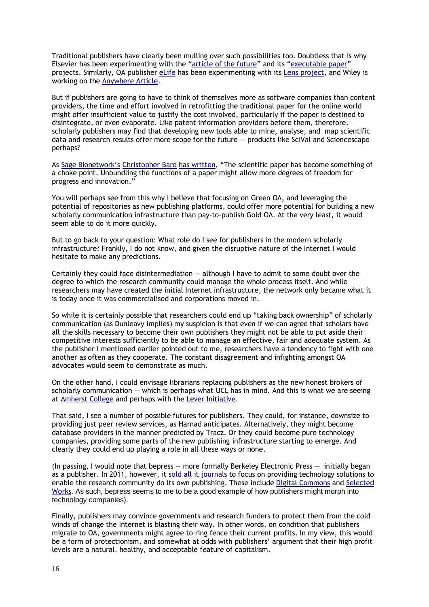Traditional publishers have clearly been mulling over such possibilities too. Doubtless that is why Elsevier has been experimenting with the "[article of the future](http://www.elsevier.com/about/mission/innovative-tools/article-of-the-future)" and its "[executable paper](http://www.elsevier.com/physical-sciences/computer-science/executable-papers)" projects. Similarly, OA publisher [eLife](http://www.elifesciences.org/) has been experimenting with it[s Lens project,](http://lens.elifesciences.org/) and Wiley is working on the [Anywhere Article.](http://exchanges.wiley.com/blog/2014/02/14/designing-a-better-html-article-the-anywhere-article/)

But if publishers are going to have to think of themselves more as software companies than content providers, the time and effort involved in retrofitting the traditional paper for the online world might offer insufficient value to justify the cost involved, particularly if the paper is destined to disintegrate, or even evaporate. Like patent information providers before them, therefore, scholarly publishers may find that developing new tools able to mine, analyse, and map scientific data and research results offer more scope for the future — products like SciVal and Sciencescape perhaps?

As [Sage Bionetwork's](http://sagebase.org/) [Christopher Bare](http://digitheadslabnotebook.blogspot.co.uk/p/about-me.html) [has written](http://digitheadslabnotebook.blogspot.co.uk/2014/01/guide-to-open-science.html), "The scientific paper has become something of a choke point. Unbundling the functions of a paper might allow more degrees of freedom for progress and innovation."

You will perhaps see from this why I believe that focusing on Green OA, and leveraging the potential of repositories as new publishing platforms, could offer more potential for building a new scholarly communication infrastructure than pay-to-publish Gold OA. At the very least, it would seem able to do it more quickly.

But to go back to your question: What role do I see for publishers in the modern scholarly infrastructure? Frankly, I do not know, and given the disruptive nature of the Internet I would hesitate to make any predictions.

Certainly they could face disintermediation  $-$  although I have to admit to some doubt over the degree to which the research community could manage the whole process itself. And while researchers may have created the initial Internet infrastructure, the network only became what it is today once it was commercialised and corporations moved in.

So while it is certainly possible that researchers could end up "taking back ownership" of scholarly communication (as Dunleavy implies) my suspicion is that even if we can agree that scholars have all the skills necessary to become their own publishers they might not be able to put aside their competitive interests sufficiently to be able to manage an effective, fair and adequate system. As the publisher I mentioned earlier pointed out to me, researchers have a tendency to fight with one another as often as they cooperate. The constant disagreement and infighting amongst OA advocates would seem to demonstrate as much.

On the other hand, I could envisage librarians replacing publishers as the new honest brokers of scholarly communication  $-$  which is perhaps what UCL has in mind. And this is what we are seeing at [Amherst College](file:///C:/Users/Richard/Dropbox/1RickyP/1Where%20are%20We/And%20perhaps%20the%20more%20important%20need%20is%20not%20for%20the%20research%20community%20to%20do%20all%20the%20work,%20but%20to%20be%20able%20to%20call%20the%20shots) and perhaps with the [Lever Initiative.](http://lj.libraryjournal.com/2014/03/opinion/peer-to-peer-review/the-lever-initiative-taking-a-stand-to-change-the-world-peer-to-peer-review/)

That said, I see a number of possible futures for publishers. They could, for instance, downsize to providing just peer review services, as Harnad anticipates. Alternatively, they might become database providers in the manner predicted by Tracz. Or they could become pure technology companies, providing some parts of the new publishing infrastructure starting to emerge. And clearly they could end up playing a role in all these ways or none.

(In passing, I would note that bepress — more formally Berkeley Electronic Press — initially began as a publisher. In 2011, however, it [sold all it journals](http://www.libraries.wright.edu/noshelfrequired/2011/09/16/de-gruyter-acquires-67-journals-from-bepress-details-from-de-gruyters-sven-fund/) to focus on providing technology solutions to enable the research community do its own publishing. These include [Digital Commons](http://digitalcommons.bepress.com/) and [Selected](http://works.bepress.com/)  [Works](http://works.bepress.com/). As such, bepress seems to me to be a good example of how publishers might morph into technology companies).

Finally, publishers may convince governments and research funders to protect them from the cold winds of change the Internet is blasting their way. In other words, on condition that publishers migrate to OA, governments might agree to ring fence their current profits. In my view, this would be a form of protectionism, and somewhat at odds with publishers' argument that their high profit levels are a natural, healthy, and acceptable feature of capitalism.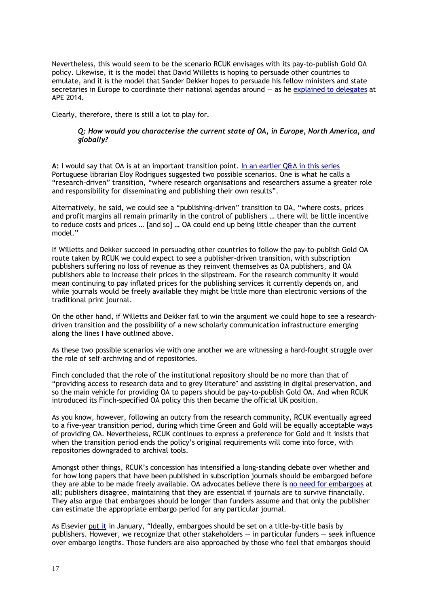Nevertheless, this would seem to be the scenario RCUK envisages with its pay-to-publish Gold OA policy. Likewise, it is the model that David Willetts is hoping to persuade other countries to emulate, and it is the model that Sander Dekker hopes to persuade his fellow ministers and state secretaries in Europe to coordinate their national agendas around  $-$  as he [explained to](http://www.rijksoverheid.nl/documenten-en-publicaties/toespraken/2014/01/28/open-acess-going-for-gold.html) delegates at APE 2014.

Clearly, therefore, there is still a lot to play for.

#### *Q: How would you characterise the current state of OA, in Europe, North America, and globally?*

**A:** I would say that OA is at an important transition point. [In an earlier Q&A in this series](http://poynder.blogspot.co.uk/2013/07/eloy-rodrigues-on-state-of-open-access.html) Portuguese librarian Eloy Rodrigues suggested two possible scenarios. One is what he calls a "research-driven" transition, "where research organisations and researchers assume a greater role and responsibility for disseminating and publishing their own results".

Alternatively, he said, we could see a "publishing-driven" transition to OA, "where costs, prices and profit margins all remain primarily in the control of publishers … there will be little incentive to reduce costs and prices … [and so] … OA could end up being little cheaper than the current model."

If Willetts and Dekker succeed in persuading other countries to follow the pay-to-publish Gold OA route taken by RCUK we could expect to see a publisher-driven transition, with subscription publishers suffering no loss of revenue as they reinvent themselves as OA publishers, and OA publishers able to increase their prices in the slipstream. For the research community it would mean continuing to pay inflated prices for the publishing services it currently depends on, and while journals would be freely available they might be little more than electronic versions of the traditional print journal.

On the other hand, if Willetts and Dekker fail to win the argument we could hope to see a researchdriven transition and the possibility of a new scholarly communication infrastructure emerging along the lines I have outlined above.

As these two possible scenarios vie with one another we are witnessing a hard-fought struggle over the role of self-archiving and of repositories.

Finch concluded that the role of the institutional repository should be no more than that of "providing access to research data and to grey literature" and assisting in digital preservation, and so the main vehicle for providing OA to papers should be pay-to-publish Gold OA. And when RCUK introduced its Finch-specified OA policy this then became the official UK position.

As you know, however, following an outcry from the research community, RCUK eventually agreed to a five-year transition period, during which time Green and Gold will be equally acceptable ways of providing OA. Nevertheless, RCUK continues to express a preference for Gold and it insists that when the transition period ends the policy's original requirements will come into force, with repositories downgraded to archival tools.

Amongst other things, RCUK's concession has intensified a long-standing debate over whether and for how long papers that have been published in subscription journals should be embargoed before they are able to be made freely available. OA advocates believe there is [no need for embargoes](http://blogs.computerworlduk.com/open-enterprise/2013/12/open-access-looking-back-looking-forwards/index.htm) at all; publishers disagree, maintaining that they are essential if journals are to survive financially. They also argue that embargoes should be longer than funders assume and that only the publisher can estimate the appropriate embargo period for any particular journal.

As Elsevier [put it](http://www.elsevier.com/connect/open-access-at-elsevier-2013-in-retrospect-and-a-look-at-2014) in January, "Ideally, embargoes should be set on a title-by-title basis by publishers. However, we recognize that other stakeholders — in particular funders — seek influence over embargo lengths. Those funders are also approached by those who feel that embargos should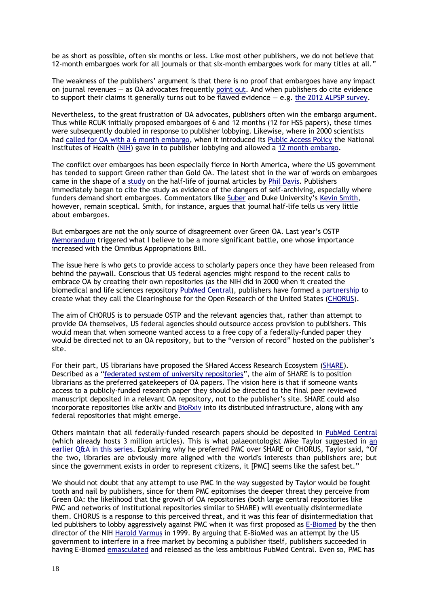be as short as possible, often six months or less. Like most other publishers, we do not believe that 12-month embargoes work for all journals or that six-month embargoes work for many titles at all."

The weakness of the publishers' argument is that there is no proof that embargoes have any impact on journal revenues — as OA advocates frequently [point out.](http://ersatzben.wordpress.com/2014/03/05/thoughts-on-journal-embargoes/) And when publishers do cite evidence to support their claims it generally turns out to be flawed evidence  $-$  e.g. [the 2012 ALPSP survey.](http://poynder.blogspot.co.uk/2012/07/oa-interviews-audrey-mcculloch-alpsp.html)

Nevertheless, to the great frustration of OA advocates, publishers often win the embargo argument. Thus while RCUK initially proposed embargoes of 6 and 12 months (12 for HSS papers), these times were subsequently doubled in response to publisher lobbying. Likewise, where in 2000 scientists had called for [OA with a 6 month embargo,](http://www.plos.org/about/plos/history/) when it introduced its [Public Access Policy](http://publicaccess.nih.gov/) the National Institutes of Health [\(NIH\)](http://www.nih.gov/) gave in to publisher lobbying and allowed a [12 month](http://publicaccess.nih.gov/policy.htm) embargo.

The conflict over embargoes has been especially fierce in North America, where the US government has tended to support Green rather than Gold OA. The latest shot in the war of words on embargoes came in the shape of a [study](http://lj.libraryjournal.com/2014/01/publishing/new-study-identifies-half-life-of-journal-articles/) on the half-life of journal articles by [Phil Davis.](http://scholarlykitchen.sspnet.org/author/pmd8/) Publishers immediately began to cite the study as evidence of the dangers of self-archiving, especially where funders demand short embargoes. Commentators like [Suber](http://blogs.lse.ac.uk/impactofsocialsciences/2014/01/14/suber-embargoes-on-publicly-funded-research/) and Duke University's [Kevin Smith,](https://blogs.library.duke.edu/scholcomm/2014/01/15/half-lives-policies-and-embargoes/) however, remain sceptical. Smith, for instance, argues that journal half-life tells us very little about embargoes.

But embargoes are not the only source of disagreement over Green OA. Last year's OSTP [Memorandum](http://www.whitehouse.gov/blog/2013/02/22/expanding-public-access-results-federally-funded-research) triggered what I believe to be a more significant battle, one whose importance increased with the Omnibus Appropriations Bill.

The issue here is who gets to provide access to scholarly papers once they have been released from behind the paywall. Conscious that US federal agencies might respond to the recent calls to embrace OA by creating their own repositories (as the NIH did in 2000 when it created the biomedical and life sciences repository [PubMed Central\)](http://www.ncbi.nlm.nih.gov/pmc/), publishers have formed a [partnership](http://chronicle.com/blogs/wiredcampus/publishers-propose-public-private-partnership-to-support-access-to-research/44005?cid=at&utm_source=at&utm_medium=en) to create what they call the Clearinghouse for the Open Research of the United States [\(CHORUS\)](http://publishers.org/press/110/).

The aim of CHORUS is to persuade OSTP and the relevant agencies that, rather than attempt to provide OA themselves, US federal agencies should outsource access provision to publishers. This would mean that when someone wanted access to a free copy of a federally-funded paper they would be directed not to an OA repository, but to the "version of record" hosted on the publisher's site.

For their part, US librarians have proposed the SHared Access Research Ecosystem [\(SHARE\)](http://www.arl.org/storage/documents/publications/share-proposal-07june13.pdf). Described as a "[federated system of university repositories](http://chronicle.com/blogs/wiredcampus/universities-and-libraries-envision-a-federated-system-for-public-access-to-research/44147)", the aim of SHARE is to position librarians as the preferred gatekeepers of OA papers. The vision here is that if someone wants access to a publicly-funded research paper they should be directed to the final peer reviewed manuscript deposited in a relevant OA repository, not to the publisher's site. SHARE could also incorporate repositories like arXiv and [BioRxiv](file:///C:/Users/Richard/Dropbox/1RickyP/1Where%20are%20We/bioRxiv) into its distributed infrastructure, along with any federal repositories that might emerge.

Others maintain that all federally-funded research papers should be deposited in [PubMed Central](http://en.wikipedia.org/wiki/PubMed_Central) (which already hosts 3 million articles). This is what palaeontologist Mike Taylor suggested in [an](http://poynder.blogspot.co.uk/2013/07/open-access-where-are-we-what-still.html)  [earlier Q&A in this series.](http://poynder.blogspot.co.uk/2013/07/open-access-where-are-we-what-still.html) Explaining why he preferred PMC over SHARE or CHORUS, Taylor said, "Of the two, libraries are obviously more aligned with the world's interests than publishers are; but since the government exists in order to represent citizens, it [PMC] seems like the safest bet."

We should not doubt that any attempt to use PMC in the way suggested by Taylor would be fought tooth and nail by publishers, since for them PMC epitomises the deeper threat they perceive from Green OA: the likelihood that the growth of OA repositories (both large central repositories like PMC and networks of institutional repositories similar to SHARE) will eventually disintermediate them. CHORUS is a response to this perceived threat, and it was this fear of disintermediation that led publishers to lobby aggressively against PMC when it was first proposed as [E-Biomed](http://www.nih.gov/about/director/pubmedcentral/ebiomedarch.htm) by the then director of the NIH [Harold Varmus](http://en.wikipedia.org/wiki/Harold_E._Varmus) in 1999. By arguing that E-BioMed was an attempt by the US government to interfere in a free market by becoming a publisher itself, publishers succeeded in having E-Biomed [emasculated](https://scholarworks.iu.edu/dspace/bitstream/handle/2022/170/wp01-03B.html) and released as the less ambitious PubMed Central. Even so, PMC has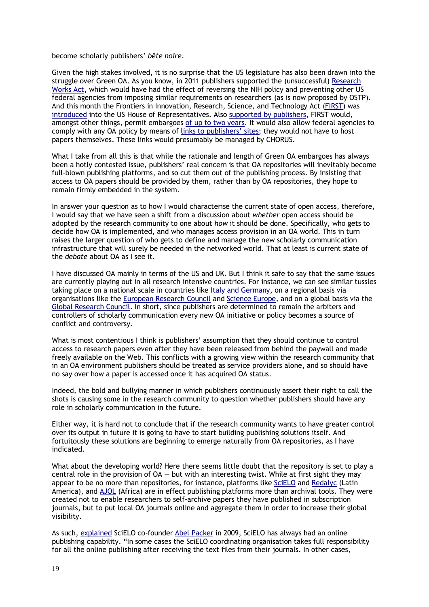become scholarly publishers' *bête noire*.

Given the high stakes involved, it is no surprise that the US legislature has also been drawn into the struggle over Green OA. As you know, in 2011 publishers supported the (unsuccessful) [Research](http://en.wikipedia.org/wiki/Research_Works_Act)  [Works Act,](http://en.wikipedia.org/wiki/Research_Works_Act) which would have had the effect of reversing the NIH policy and preventing other US federal agencies from imposing similar requirements on researchers (as is now proposed by OSTP). And this month the Frontiers in Innovation, Research, Science, and Technology Act [\(FIRST\)](https://www.eff.org/files/2013/11/12/11_1_13_first_act_discussion_draft.pdf) was [introduced](http://sparc.arl.org/news/advocacy/first/pr) into the US House of Representatives. Also [supported by publishers,](http://news.sciencemag.org/education/2013/11/first-lawmakers-examine-bill-renewing-u.s.-research) FIRST would, amongst other things, permit embargoes [of up to two](http://us.creativecommons.org/archives/90) years. It would also allow federal agencies to comply with any OA policy by means of links to [publishers' sites](http://www.mhpbooks.com/open-access-advocates-protest-the-first-act/); they would not have to host papers themselves. These links would presumably be managed by CHORUS.

What I take from all this is that while the rationale and length of Green OA embargoes has always been a hotly contested issue, publishers' real concern is that OA repositories will inevitably become full-blown publishing platforms, and so cut them out of the publishing process. By insisting that access to OA papers should be provided by them, rather than by OA repositories, they hope to remain firmly embedded in the system.

In answer your question as to how I would characterise the current state of open access, therefore, I would say that we have seen a shift from a discussion about *whether* open access should be adopted by the research community to one about *how* it should be done. Specifically, who gets to decide how OA is implemented, and who manages access provision in an OA world. This in turn raises the larger question of who gets to define and manage the new scholarly communication infrastructure that will surely be needed in the networked world. That at least is current state of the *debate* about OA as I see it.

I have discussed OA mainly in terms of the US and UK. But I think it safe to say that the same issues are currently playing out in all research intensive countries. For instance, we can see similar tussles taking place on a national scale in countries like [Italy and Germany,](http://kluwercopyrightblog.com/2013/12/03/open-access-to-scientific-articles-comparing-italian-with-german-law/) on a regional basis via organisations like the [European Research Council](http://erc.europa.eu/sites/default/files/document/file/open_access_policy_researchers_funded_ERC.pd) and [Science Europe,](http://www.scienceeurope.org/uploads/PublicDocumentsAndSpeeches/SE_OA_Pos_Statement.pdf) and on a global basis via the [Global Research Council.](http://blogs.nature.com/news/2013/05/worlds-research-funders-launch-open-access-action-plan.htm) In short, since publishers are determined to remain the arbiters and controllers of scholarly communication every new OA initiative or policy becomes a source of conflict and controversy.

What is most contentious I think is publishers' assumption that they should continue to control access to research papers even after they have been released from behind the paywall and made freely available on the Web. This conflicts with a growing view within the research community that in an OA environment publishers should be treated as service providers alone, and so should have no say over how a paper is accessed once it has acquired OA status.

Indeed, the bold and bullying manner in which publishers continuously assert their right to call the shots is causing some in the research community to question whether publishers should have any role in scholarly communication in the future.

Either way, it is hard not to conclude that if the research community wants to have greater control over its output in future it is going to have to start building publishing solutions itself. And fortuitously these solutions are beginning to emerge naturally from OA repositories, as I have indicated.

What about the developing world? Here there seems little doubt that the repository is set to play a central role in the provision of  $OA - but$  with an interesting twist. While at first sight they may appear to be no more than repositories, for instance, platforms like [SciELO](http://www.scielo.org/php/index.php?lang=en) and [Redalyc](http://www.redalyc.org/home.oa) (Latin America), and [AJOL](http://www.ajol.info/) (Africa) are in effect publishing platforms more than archival tools. They were created not to enable researchers to self-archive papers they have published in subscription journals, but to put local OA journals online and aggregate them in order to increase their global visibility.

As such, [explained](http://ojs.library.ubc.ca/index.php/cjhe/article/view/479/pdf) SciELO co-founder [Abel Packer](http://buscatextual.cnpq.br/buscatextual/visualizacv.do?id=K4794433Y4) in 2009, SciELO has always had an online publishing capability. "In some cases the SciELO coordinating organisation takes full responsibility for all the online publishing after receiving the text files from their journals. In other cases,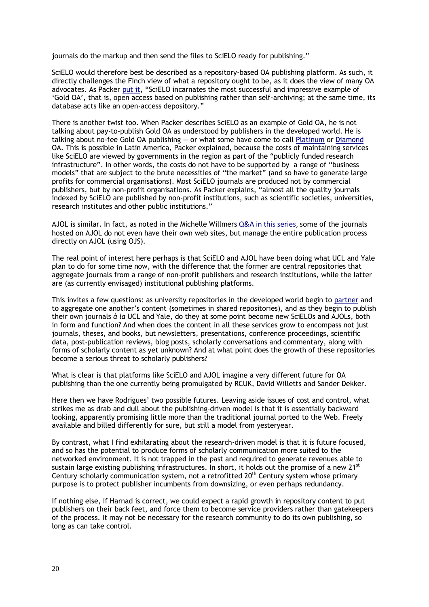journals do the markup and then send the files to SciELO ready for publishing."

SciELO would therefore best be described as a repository-based OA publishing platform. As such, it directly challenges the Finch view of what a repository ought to be, as it does the view of many OA advocates. As Packer [put it](http://ojs.library.ubc.ca/index.php/cjhe/article/view/479), "SciELO incarnates the most successful and impressive example of 'Gold OA', that is, open access based on publishing rather than self-archiving; at the same time, its database acts like an open-access depository."

There is another twist too. When Packer describes SciELO as an example of Gold OA, he is not talking about pay-to-publish Gold OA as understood by publishers in the developed world. He is talking about no-fee Gold OA publishing — or what some have come to call [Platinum](http://www.eurekalert.org/pub_releases/2013-12/pp-tot121813.php) or [Diamond](http://www.triple-c.at/index.php/tripleC/article/view/502) OA. This is possible in Latin America, Packer explained, because the costs of maintaining services like SciELO are viewed by governments in the region as part of the "publicly funded research infrastructure". In other words, the costs do not have to be supported by a range of "business models" that are subject to the brute necessities of "the market" (and so have to generate large profits for commercial organisations). Most SciELO journals are produced not by commercial publishers, but by non-profit organisations. As Packer explains, "almost all the quality journals indexed by SciELO are published by non-profit institutions, such as scientific societies, universities, research institutes and other public institutions."

AJOL is similar. In fact, as noted in the Michelle Willmers [Q&A in this series,](http://poynder.blogspot.co.uk/2013/10/michelle-willmers-on-state-of-open.html) some of the journals hosted on AJOL do not even have their own web sites, but manage the entire publication process directly on AJOL (using OJS).

The real point of interest here perhaps is that SciELO and AJOL have been doing what UCL and Yale plan to do for some time now, with the difference that the former are central repositories that aggregate journals from a range of non-profit publishers and research institutions, while the latter are (as currently envisaged) institutional publishing platforms.

This invites a few questions: as university repositories in the developed world begin to [partner](https://news.okstate.edu/press-releases/2523-osu-and-ou-collaborate-on-open-access-repository) and to aggregate one another's content (sometimes in shared repositories), and as they begin to publish their own journals *à la* UCL and Yale, do they at some point become new SciELOs and AJOLs, both in form and function? And when does the content in all these services grow to encompass not just journals, theses, and books, but newsletters, presentations, conference proceedings, scientific data, post-publication reviews, blog posts, scholarly conversations and commentary, along with forms of scholarly content as yet unknown? And at what point does the growth of these repositories become a serious threat to scholarly publishers?

What is clear is that platforms like SciELO and AJOL imagine a very different future for OA publishing than the one currently being promulgated by RCUK, David Willetts and Sander Dekker.

Here then we have Rodrigues' two possible futures. Leaving aside issues of cost and control, what strikes me as drab and dull about the publishing-driven model is that it is essentially backward looking, apparently promising little more than the traditional journal ported to the Web. Freely available and billed differently for sure, but still a model from yesteryear.

By contrast, what I find exhilarating about the research-driven model is that it is future focused, and so has the potential to produce forms of scholarly communication more suited to the networked environment. It is not trapped in the past and required to generate revenues able to sustain large existing publishing infrastructures. In short, it holds out the promise of a new  $21^{st}$ Century scholarly communication system, not a retrofitted  $20<sup>th</sup>$  Century system whose primary purpose is to protect publisher incumbents from downsizing, or even perhaps redundancy.

If nothing else, if Harnad is correct, we could expect a rapid growth in repository content to put publishers on their back feet, and force them to become service providers rather than gatekeepers of the process. It may not be necessary for the research community to do its own publishing, so long as can take control.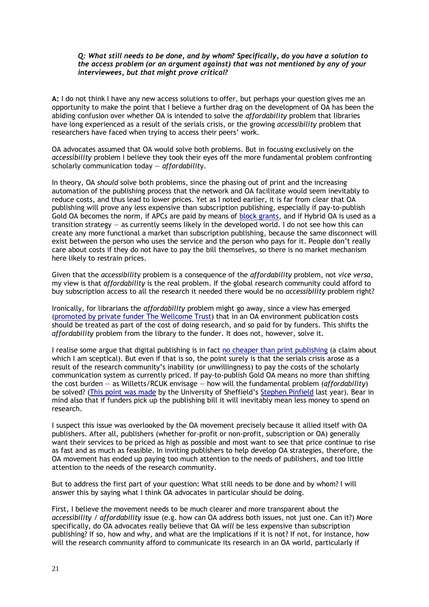#### *Q: What still needs to be done, and by whom? Specifically, do you have a solution to the access problem (or an argument against) that was not mentioned by any of your interviewees, but that might prove critical?*

**A:** I do not think I have any new access solutions to offer, but perhaps your question gives me an opportunity to make the point that I believe a further drag on the development of OA has been the abiding confusion over whether OA is intended to solve the *affordability* problem that libraries have long experienced as a result of the serials crisis, or the growing *accessibility* problem that researchers have faced when trying to access their peers' work.

OA advocates assumed that OA would solve both problems. But in focusing exclusively on the *accessibility* problem I believe they took their eyes off the more fundamental problem confronting scholarly communication today — *affordabilit*y.

In theory, OA *should* solve both problems, since the phasing out of print and the increasing automation of the publishing process that the network and OA facilitate would seem inevitably to reduce costs, and thus lead to lower prices. Yet as I noted earlier, it is far from clear that OA publishing will prove any less expensive than subscription publishing, especially if pay-to-publish Gold OA becomes the norm, if APCs are paid by means of [block grants,](http://www.rcuk.ac.uk/media/news/2012news/Pages/121108.aspx) and if Hybrid OA is used as a transition strategy — as currently seems likely in the developed world. I do not see how this can create any more functional a market than subscription publishing, because the same disconnect will exist between the person who uses the service and the person who pays for it. People don't really care about costs if they do not have to pay the bill themselves, so there is no market mechanism here likely to restrain prices.

Given that the *accessibilit*y problem is a consequence of the *affordability* problem, not *vice versa*, my view is that *affordability* is the real problem. If the global research community could afford to buy subscription access to all the research it needed there would be no *accessibility* problem right?

Ironically, for librarians the *affordability* problem might go away, since a view has emerged (promoted [by private funder The Wellcome Trust\)](http://www.publications.parliament.uk/pa/cm201314/cmselect/cmbis/99/99vw85.htm) that in an OA environment publication costs should be treated as part of the cost of doing research, and so paid for by funders. This shifts the *affordability* problem from the library to the funder. It does not, however, solve it.

I realise some argue that digital publishing is in fact [no cheaper than print publishing](http://lareviewofbooks.org/essay/pixel-dust-illusions-innovation-scholarly-publishing) (a claim about which I am sceptical). But even if that is so, the point surely is that the serials crisis arose as a result of the research community's inability (or unwillingness) to pay the costs of the scholarly communication system as currently priced. If pay-to-publish Gold OA means no more than shifting the cost burden — as Willetts/RCUK envisage — how will the fundamental problem (*affordability*) be solved? (This [point was made](http://eprints.whiterose.ac.uk/75285/) by the University of Sheffield's [Stephen Pinfield](http://www.sheffield.ac.uk/is/staff/pinfield) last year). Bear in mind also that if funders pick up the publishing bill it will inevitably mean less money to spend on research.

I suspect this issue was overlooked by the OA movement precisely because it allied itself with OA publishers. After all, publishers (whether for-profit or non-profit, subscription or OA) generally want their services to be priced as high as possible and most want to see that price continue to rise as fast and as much as feasible. In inviting publishers to help develop OA strategies, therefore, the OA movement has ended up paying too much attention to the needs of publishers, and too little attention to the needs of the research community.

But to address the first part of your question: What still needs to be done and by whom? I will answer this by saying what I think OA advocates in particular should be doing.

First, I believe the movement needs to be much clearer and more transparent about the *accessibility* / *affordability* issue (e.g. how can OA address both issues, not just one. Can it?) More specifically, do OA advocates really believe that OA *will* be less expensive than subscription publishing? If so, how and why, and what are the implications if it is not? If not, for instance, how will the research community afford to communicate its research in an OA world, particularly if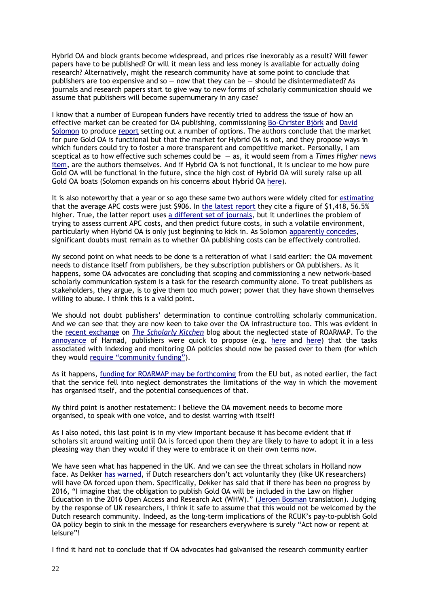Hybrid OA and block grants become widespread, and prices rise inexorably as a result? Will fewer papers have to be published? Or will it mean less and less money is available for actually doing research? Alternatively, might the research community have at some point to conclude that publishers are too expensive and so  $-$  now that they can be  $-$  should be disintermediated? As journals and research papers start to give way to new forms of scholarly communication should we assume that publishers will become supernumerary in any case?

I know that a number of European funders have recently tried to address the issue of how an effective market can be created for OA publishing, commissioning [Bo-Christer Björk](http://www.hanken.fi/staff/bjork/) and [David](https://plus.google.com/+DavidSolomon/about)  [Solomon](https://plus.google.com/+DavidSolomon/about) to produce [report](http://www.wellcome.ac.uk/News/Media-office/Press-releases/2014/WTP055900.htm#.Ux_tQXVN48I.twitter) setting out a number of options. The authors conclude that the market for pure Gold OA is functional but that the market for Hybrid OA is not, and they propose ways in which funders could try to foster a more transparent and competitive market. Personally, I am sceptical as to how effective such schemes could be — as, it would seem from a *Times Higher* [news](http://www.timeshighereducation.co.uk/news/open-access-report-suggests-funders-could-set-threshold-for-hybrid-fees/2012033.article)  [item,](http://www.timeshighereducation.co.uk/news/open-access-report-suggests-funders-could-set-threshold-for-hybrid-fees/2012033.article) are the authors themselves. And if Hybrid OA is not functional, it is unclear to me how pure Gold OA will be functional in the future, since the high cost of Hybrid OA will surely raise up all Gold OA boats (Solomon expands on his concerns about Hybrid OA [here\)](https://plus.google.com/109680188903316748168/posts/1maYRP7Z5tp).

It is also noteworthy that a year or so ago these same two authors were widely cited for [estimating](http://goo.gl/mmvkjA) that the average APC costs were just \$906. In [the latest](http://www.wellcome.ac.uk/stellent/groups/corporatesite/@policy_communications/documents/web_document/wtp055910.pdf) report they cite a figure of \$1,418, 56.5% higher. True, the latter report uses [a different set of journals,](https://plus.google.com/109680188903316748168/posts/1maYRP7Z5tp) but it underlines the problem of trying to assess current APC costs, and then predict future costs, in such a volatile environment, particularly when Hybrid OA is only just beginning to kick in. As Solomon [apparently concedes,](https://plus.google.com/109680188903316748168/posts/1maYRP7Z5tp) significant doubts must remain as to whether OA publishing costs can be effectively controlled.

My second point on what needs to be done is a reiteration of what I said earlier: the OA movement needs to distance itself from publishers, be they subscription publishers or OA publishers. As it happens, some OA advocates are concluding that scoping and commissioning a new network-based scholarly communication system is a task for the research community alone. To treat publishers as stakeholders, they argue, is to give them too much power; power that they have shown themselves willing to abuse. I think this is a valid point.

We should not doubt publishers' determination to continue controlling scholarly communication. And we can see that they are now keen to take over the OA infrastructure too. This was evident in the [recent exchange](http://scholarlykitchen.sspnet.org/2014/02/13/errors-and-misinformation-in-the-roarmap-open-access-registry/) on *[The Scholarly Kitchen](http://scholarlykitchen.sspnet.org/author/planxty/)* blog about the neglected state of ROARMAP. To the [annoyance](http://openaccess.eprints.org/) of Harnad, publishers were quick to propose (e.g. [here](http://scholarlykitchen.sspnet.org/2014/02/13/errors-and-misinformation-in-the-roarmap-open-access-registry/#comment-135134) and [here\)](http://scholarlykitchen.sspnet.org/2014/02/13/errors-and-misinformation-in-the-roarmap-open-access-registry/#comment-135294) that the tasks associated with indexing and monitoring OA policies should now be passed over to them (for which they would require ["community funding"](http://scholarlykitchen.sspnet.org/2014/02/13/errors-and-misinformation-in-the-roarmap-open-access-registry/#comment-135296)).

As it happens, funding [for ROARMAP may be forthcoming](http://scholarlykitchen.sspnet.org/2014/02/13/errors-and-misinformation-in-the-roarmap-open-access-registry/#comment-135308) from the EU but, as noted earlier, the fact that the service fell into neglect demonstrates the limitations of the way in which the movement has organised itself, and the potential consequences of that.

My third point is another restatement: I believe the OA movement needs to become more organised, to speak with one voice, and to desist warring with itself!

As I also noted, this last point is in my view important because it has become evident that if scholars sit around waiting until OA is forced upon them they are likely to have to adopt it in a less pleasing way than they would if they were to embrace it on their own terms now.

We have seen what has happened in the UK. And we can see the threat scholars in Holland now face. As Dekker [has warned,](http://mailman.ecs.soton.ac.uk/pipermail/goal/2013-November/002285.html) if Dutch researchers don't act voluntarily they (like UK researchers) will have OA forced upon them. Specifically, Dekker has said that if there has been no progress by 2016, "I imagine that the obligation to publish Gold OA will be included in the Law on Higher Education in the 2016 Open Access and Research Act (WHW)." ([Jeroen Bosman](http://www.uu.nl/staff/JMBosman/) translation). Judging by the response of UK researchers, I think it safe to assume that this would not be welcomed by the Dutch research community. Indeed, as the long-term implications of the RCUK's pay-to-publish Gold OA policy begin to sink in the message for researchers everywhere is surely "Act now or repent at leisure"!

I find it hard not to conclude that if OA advocates had galvanised the research community earlier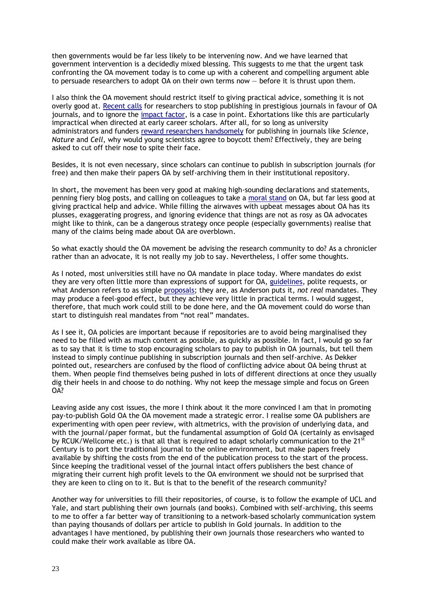then governments would be far less likely to be intervening now. And we have learned that government intervention is a decidedly mixed blessing. This suggests to me that the urgent task confronting the OA movement today is to come up with a coherent and compelling argument able to persuade researchers to adopt OA on their own terms now — before it is thrust upon them.

I also think the OA movement should restrict itself to giving practical advice, something it is not overly good at[. Recent calls](http://www.theguardian.com/science/2013/dec/09/nobel-winner-boycott-science-journals) for researchers to stop publishing in prestigious journals in favour of OA journals, and to ignore the [impact factor,](http://en.wikipedia.org/wiki/Impact_factor) is a case in point. Exhortations like this are particularly impractical when directed at early career scholars. After all, for so long as university administrators and funders [reward researchers handsomely](http://serialmentor.com/blog/2014/1/4/how-glamour-journals-rose-to-prominence-and-why-they-may-not-be-needed-anymore) for publishing in journals like *Science*, *Nature* and *Cell*, why would young scientists agree to boycott them? Effectively, they are being asked to cut off their nose to spite their face.

Besides, it is not even necessary, since scholars can continue to publish in subscription journals (for free) and then make their papers OA by self-archiving them in their institutional repository.

In short, the movement has been very good at making high-sounding declarations and statements, penning fiery blog posts, and calling on colleagues to take a [moral stand](http://www.theguardian.com/science/blog/2013/jan/17/open-access-publishing-science-paywall-immoral) on OA, but far less good at giving practical help and advice. While filling the airwaves with upbeat messages about OA has its plusses, exaggerating progress, and ignoring evidence that things are not as rosy as OA advocates might like to think, can be a dangerous strategy once people (especially governments) realise that many of the claims being made about OA are overblown.

So what exactly should the OA movement be advising the research community to do? As a chronicler rather than an advocate, it is not really my job to say. Nevertheless, I offer some thoughts.

As I noted, most universities still have no OA mandate in place today. Where mandates do exist they are very often little more than expressions of support for OA, [guidelines,](https://atrium.lib.uoguelph.ca/xmlui/handle/10214/1995) polite requests, or what Anderson refers to as simple [proposals;](https://atrium.lib.uoguelph.ca/xmlui/handle/10214/1995) they are, as Anderson puts it, *not real* mandates. They may produce a feel-good effect, but they achieve very little in practical terms. I would suggest, therefore, that much work could still to be done here, and the OA movement could do worse than start to distinguish real mandates from "not real" mandates.

As I see it, OA policies are important because if repositories are to avoid being marginalised they need to be filled with as much content as possible, as quickly as possible. In fact, I would go so far as to say that it is time to stop encouraging scholars to pay to publish in OA journals, but tell them instead to simply continue publishing in subscription journals and then self-archive. As Dekker pointed out, researchers are confused by the flood of conflicting advice about OA being thrust at them. When people find themselves being pushed in lots of different directions at once they usually dig their heels in and choose to do nothing. Why not keep the message simple and focus on Green OA?

Leaving aside any cost issues, the more I think about it the more convinced I am that in promoting pay-to-publish Gold OA the OA movement made a strategic error. I realise some OA publishers are experimenting with open peer review, with altmetrics, with the provision of underlying data, and with the journal/paper format, but the fundamental assumption of Gold OA (certainly as envisaged by RCUK/Wellcome etc.) is that all that is required to adapt scholarly communication to the 21<sup>st</sup> Century is to port the traditional journal to the online environment, but make papers freely available by shifting the costs from the end of the publication process to the start of the process. Since keeping the traditional vessel of the journal intact offers publishers the best chance of migrating their current high profit levels to the OA environment we should not be surprised that they are keen to cling on to it. But is that to the benefit of the research community?

Another way for universities to fill their repositories, of course, is to follow the example of UCL and Yale, and start publishing their own journals (and books). Combined with self-archiving, this seems to me to offer a far better way of transitioning to a network-based scholarly communication system than paying thousands of dollars per article to publish in Gold journals. In addition to the advantages I have mentioned, by publishing their own journals those researchers who wanted to could make their work available as libre OA.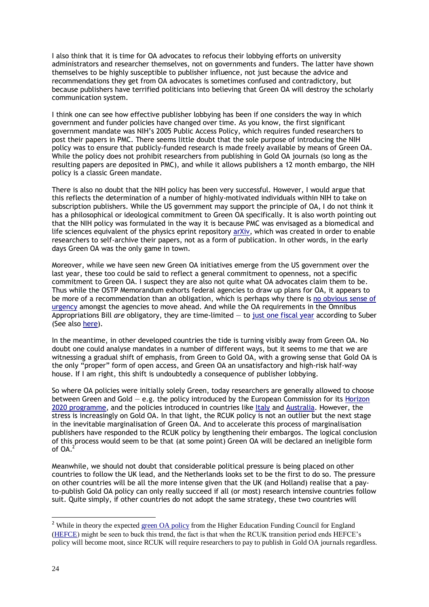I also think that it is time for OA advocates to refocus their lobbying efforts on university administrators and researcher themselves, not on governments and funders. The latter have shown themselves to be highly susceptible to publisher influence, not just because the advice and recommendations they get from OA advocates is sometimes confused and contradictory, but because publishers have terrified politicians into believing that Green OA will destroy the scholarly communication system.

I think one can see how effective publisher lobbying has been if one considers the way in which government and funder policies have changed over time. As you know, the first significant government mandate was NIH's 2005 Public Access Policy, which requires funded researchers to post their papers in PMC. There seems little doubt that the sole purpose of introducing the NIH policy was to ensure that publicly-funded research is made freely available by means of Green OA. While the policy does not prohibit researchers from publishing in Gold OA journals (so long as the resulting papers are deposited in PMC), and while it allows publishers a 12 month embargo, the NIH policy is a classic Green mandate.

There is also no doubt that the NIH policy has been very successful. However, I would argue that this reflects the determination of a number of highly-motivated individuals within NIH to take on subscription publishers. While the US government may support the principle of OA, I do not think it has a philosophical or ideological commitment to Green OA specifically. It is also worth pointing out that the NIH policy was formulated in the way it is because PMC was envisaged as a biomedical and life sciences equivalent of the physics eprint repository [arXiv,](http://en.wikipedia.org/wiki/ArXiv) which was created in order to enable researchers to self-archive their papers, not as a form of publication. In other words, in the early days Green OA was the only game in town.

Moreover, while we have seen new Green OA initiatives emerge from the US government over the last year, these too could be said to reflect a general commitment to openness, not a specific commitment to Green OA. I suspect they are also not quite what OA advocates claim them to be. Thus while the OSTP Memorandum exhorts federal agencies to draw up plans for OA, it appears to be more of a recommendation than an obligation, which is perhaps why there is [no obvious sense of](https://plus.google.com/+PeterSuber/posts/FXM1z2euiRy)  [urgency](https://plus.google.com/+PeterSuber/posts/FXM1z2euiRy) amongst the agencies to move ahead. And while the OA requirements in the Omnibus Appropriations Bill *are* obligatory, they are time-limited — to [just one fiscal year](https://plus.google.com/+PeterSuber/posts/BxaAbKqv5HS) according to Suber (See also [here\)](http://pascophronesis.wordpress.com/2014/01/17/omnibus-federal-budget-includes-a-likely-temporary-open-access-expansion/).

In the meantime, in other developed countries the tide is turning visibly away from Green OA. No doubt one could analyse mandates in a number of different ways, but it seems to me that we are witnessing a gradual shift of emphasis, from Green to Gold OA, with a growing sense that Gold OA is the only "proper" form of open access, and Green OA an unsatisfactory and high-risk half-way house. If I am right, this shift is undoubtedly a consequence of publisher lobbying.

So where OA policies were initially solely Green, today researchers are generally allowed to choose between Green and Gold — e.g. the policy introduced by the European Commission for its [Horizon](http://ec.europa.eu/research/science-society/index.cfm?fuseaction=public.topic&id=1294&lang=1)  [2020 programme,](http://ec.europa.eu/research/science-society/index.cfm?fuseaction=public.topic&id=1294&lang=1) and the policies introduced in countries like [Italy](http://kluwercopyrightblog.com/2013/12/03/open-access-to-scientific-articles-comparing-italian-with-german-law/) and [Australia.](http://aoasg.org.au/paying-for-publication/) However, the stress is increasingly on Gold OA. In that light, the RCUK policy is not an outlier but the next stage in the inevitable marginalisation of Green OA. And to accelerate this process of marginalisation publishers have responded to the RCUK policy by lengthening their embargos. The logical conclusion of this process would seem to be that (at some point) Green OA will be declared an ineligible form of  $OA^2$ 

Meanwhile, we should not doubt that considerable political pressure is being placed on other countries to follow the UK lead, and the Netherlands looks set to be the first to do so. The pressure on other countries will be all the more intense given that the UK (and Holland) realise that a payto-publish Gold OA policy can only really succeed if all (or most) research intensive countries follow suit. Quite simply, if other countries do not adopt the same strategy, these two countries will

-

<sup>&</sup>lt;sup>2</sup> While in theory the expected [green OA policy](https://www.hefce.ac.uk/whatwedo/rsrch/rinfrastruct/oa/) from the Higher Education Funding Council for England [\(HEFCE\)](http://www.hefce.ac.uk/) might be seen to buck this trend, the fact is that when the RCUK transition period ends HEFCE's policy will become moot, since RCUK will require researchers to pay to publish in Gold OA journals regardless.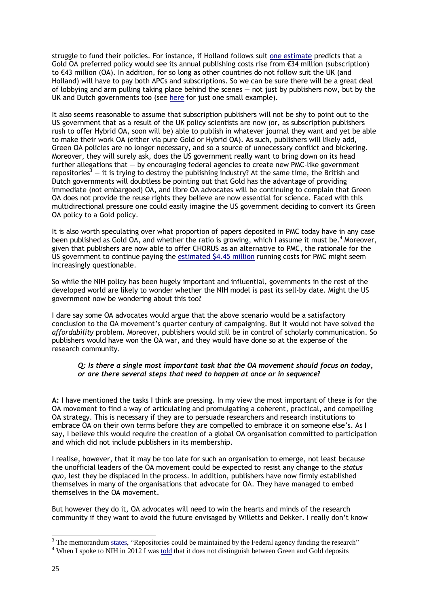struggle to fund their policies. For instance, if Holland follows suit [one estimate](http://wowter.net/2014/03/05/costs-going-gold-netherlands/) predicts that a Gold OA preferred policy would see its annual publishing costs rise from  $\epsilon$ 34 million (subscription) to €43 million (OA). In addition, for so long as other countries do not follow suit the UK (and Holland) will have to pay both APCs and subscriptions. So we can be sure there will be a great deal of lobbying and arm pulling taking place behind the scenes  $-$  not just by publishers now, but by the UK and Dutch governments too (see [here](http://www.theyworkforyou.com/wms/?id=2014-03-04a.127.2&s=%22open+access%22#g127.3) for just one small example).

It also seems reasonable to assume that subscription publishers will not be shy to point out to the US government that as a result of the UK policy scientists are now (or, as subscription publishers rush to offer Hybrid OA, soon will be) able to publish in whatever journal they want and yet be able to make their work OA (either via pure Gold or Hybrid OA). As such, publishers will likely add, Green OA policies are no longer necessary, and so a source of unnecessary conflict and bickering. Moreover, they will surely ask, does the US government really want to bring down on its head further allegations that — by encouraging federal agencies to create new PMC-like government repositories<sup>3</sup> — it is trying to destroy the publishing industry? At the same time, the British and Dutch governments will doubtless be pointing out that Gold has the advantage of providing immediate (not embargoed) OA, and libre OA advocates will be continuing to complain that Green OA does not provide the reuse rights they believe are now essential for science. Faced with this multidirectional pressure one could easily imagine the US government deciding to convert its Green OA policy to a Gold policy.

It is also worth speculating over what proportion of papers deposited in PMC today have in any case been published as Gold OA, and whether the ratio is growing, which I assume it must be.<sup>4</sup> Moreover, given that publishers are now able to offer CHORUS as an alternative to PMC, the rationale for the US government to continue paying the [estimated \\$4.45](http://scholarlykitchen.sspnet.org/2013/07/16/the-price-of-posting-pubmed-central-spends-most-of-its-budget-handling-author-manuscripts/) million running costs for PMC might seem increasingly questionable.

So while the NIH policy has been hugely important and influential, governments in the rest of the developed world are likely to wonder whether the NIH model is past its sell-by date. Might the US government now be wondering about this too?

I dare say some OA advocates would argue that the above scenario would be a satisfactory conclusion to the OA movement's quarter century of campaigning. But it would not have solved the *affordability* problem. Moreover, publishers would still be in control of scholarly communication. So publishers would have won the OA war, and they would have done so at the expense of the research community.

#### *Q: Is there a single most important task that the OA movement should focus on today, or are there several steps that need to happen at once or in sequence?*

**A:** I have mentioned the tasks I think are pressing. In my view the most important of these is for the OA movement to find a way of articulating and promulgating a coherent, practical, and compelling OA strategy. This is necessary if they are to persuade researchers and research institutions to embrace OA on their own terms before they are compelled to embrace it on someone else's. As I say, I believe this would require the creation of a global OA organisation committed to participation and which did not include publishers in its membership.

I realise, however, that it may be too late for such an organisation to emerge, not least because the unofficial leaders of the OA movement could be expected to resist any change to the *status quo*, lest they be displaced in the process. In addition, publishers have now firmly established themselves in many of the organisations that advocate for OA. They have managed to embed themselves in the OA movement.

But however they do it, OA advocates will need to win the hearts and minds of the research community if they want to avoid the future envisaged by Willetts and Dekker. I really don't know

-

 $3$  The memorandum [states,](http://www.whitehouse.gov/sites/default/files/microsites/ostp/ostp_public_access_memo_2013.pdf) "Repositories could be maintained by the Federal agency funding the research"

<sup>&</sup>lt;sup>4</sup> When I spoke to NIH in 2012 I was [told](http://poynder.blogspot.co.uk/2012/05/open-access-mandates-ensuring.htm) that it does not distinguish between Green and Gold deposits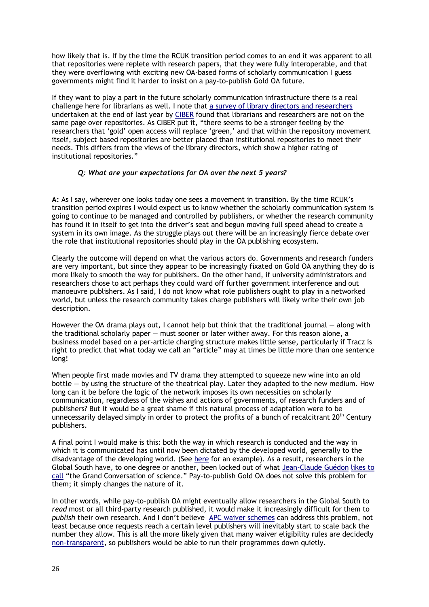how likely that is. If by the time the RCUK transition period comes to an end it was apparent to all that repositories were replete with research papers, that they were fully interoperable, and that they were overflowing with exciting new OA-based forms of scholarly communication I guess governments might find it harder to insist on a pay-to-publish Gold OA future.

If they want to play a part in the future scholarly communication infrastructure there is a real challenge here for librarians as well. I note that [a survey of library directors and researchers](http://ciber-research.eu/download/20140113-Have_digital_repositories_come_of_age-Webology_vol10_Nr2_Dec2013.pdf) undertaken at the end of last year by [CIBER](http://ciber-research.eu/download/20140113-Have_digital_repositories_come_of_age-Webology_vol10_Nr2_Dec2013.pdf) found that librarians and researchers are not on the same page over repositories. As CIBER put it, "there seems to be a stronger feeling by the researchers that 'gold' open access will replace 'green,' and that within the repository movement itself, subject based repositories are better placed than institutional repositories to meet their needs. This differs from the views of the library directors, which show a higher rating of institutional repositories."

## *Q: What are your expectations for OA over the next 5 years?*

**A:** As I say, wherever one looks today one sees a movement in transition. By the time RCUK's transition period expires I would expect us to know whether the scholarly communication system is going to continue to be managed and controlled by publishers, or whether the research community has found it in itself to get into the driver's seat and begun moving full speed ahead to create a system in its own image. As the struggle plays out there will be an increasingly fierce debate over the role that institutional repositories should play in the OA publishing ecosystem.

Clearly the outcome will depend on what the various actors do. Governments and research funders are very important, but since they appear to be increasingly fixated on Gold OA anything they do is more likely to smooth the way for publishers. On the other hand, if university administrators and researchers chose to act perhaps they could ward off further government interference and out manoeuvre publishers. As I said, I do not know what role publishers ought to play in a networked world, but unless the research community takes charge publishers will likely write their own job description.

However the OA drama plays out, I cannot help but think that the traditional journal  $-$  along with the traditional scholarly paper — must sooner or later wither away. For this reason alone, a business model based on a per-article charging structure makes little sense, particularly if Tracz is right to predict that what today we call an "article" may at times be little more than one sentence long!

When people first made movies and TV drama they attempted to squeeze new wine into an old bottle — by using the structure of the theatrical play. Later they adapted to the new medium. How long can it be before the logic of the network imposes its own necessities on scholarly communication, regardless of the wishes and actions of governments, of research funders and of publishers? But it would be a great shame if this natural process of adaptation were to be unnecessarily delayed simply in order to protect the profits of a bunch of recalcitrant  $20<sup>th</sup>$  Century publishers.

A final point I would make is this: both the way in which research is conducted and the way in which it is communicated has until now been dictated by the developed world, generally to the disadvantage of the developing world. (See [here](http://blogs.lse.ac.uk/impactofsocialsciences/2014/03/10/altmetrics-for-developing-regions/) for an example). As a result, researchers in the Global South have, to one degree or another, been locked out of what [Jean-Claude Guédon](http://en.wikipedia.org/wiki/Jean-Claude_Gu%C3%A9don) [likes to](https://www.mail-archive.com/goal@eprints.org/msg09609.html)  [call](https://www.mail-archive.com/goal@eprints.org/msg09609.html) "the Grand Conversation of science." Pay-to-publish Gold OA does not solve this problem for them; it simply changes the nature of it.

In other words, while pay-to-publish OA might eventually allow researchers in the Global South to *read* most or all third-party research published, it would make it increasingly difficult for them to *publish* their own research. And I don't believe [APC waiver schemes](http://www.biomedcentral.com/authors/oawaiverfund) can address this problem, not least because once requests reach a certain level publishers will inevitably start to scale back the number they allow. This is all the more likely given that many waiver eligibility rules are decidedly [non-transparent,](https://twitter.com/RickyPo/status/425249403029311488) so publishers would be able to run their programmes down quietly.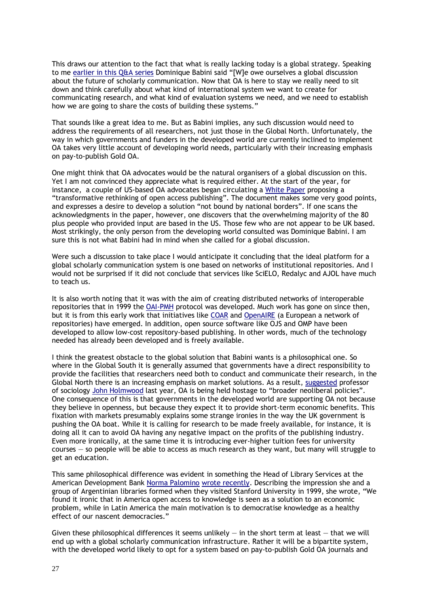This draws our attention to the fact that what is really lacking today is a global strategy. Speaking to me [earlier in this Q&A series](http://poynder.blogspot.co.uk/2013/07/dominique-babini-on-state-of-open.html) Dominique Babini said "[W]e owe ourselves a global discussion about the future of scholarly communication. Now that OA is here to stay we really need to sit down and think carefully about what kind of international system we want to create for communicating research, and what kind of evaluation systems we need, and we need to establish how we are going to share the costs of building these systems."

That sounds like a great idea to me. But as Babini implies, any such discussion would need to address the requirements of all researchers, not just those in the Global North. Unfortunately, the way in which governments and funders in the developed world are currently inclined to implement OA takes very little account of developing world needs, particularly with their increasing emphasis on pay-to-publish Gold OA.

One might think that OA advocates would be the natural organisers of a global discussion on this. Yet I am not convinced they appreciate what is required either. At the start of the year, for instance, a couple of US-based OA advocates began circulating a [White Paper](http://knconsultants.org/wp-content/uploads/2014/01/DRAFT-OA-Proposal-White-Paper.pdf) proposing a "transformative rethinking of open access publishing". The document makes some very good points, and expresses a desire to develop a solution "not bound by national borders". If one scans the acknowledgments in the paper, however, one discovers that the overwhelming majority of the 80 plus people who provided input are based in the US. Those few who are not appear to be UK based. Most strikingly, the only person from the developing world consulted was Dominique Babini. I am sure this is not what Babini had in mind when she called for a global discussion.

Were such a discussion to take place I would anticipate it concluding that the ideal platform for a global scholarly communication system is one based on networks of institutional repositories. And I would not be surprised if it did not conclude that services like SciELO, Redalyc and AJOL have much to teach us.

It is also worth noting that it was with the aim of creating distributed networks of interoperable repositories that in 1999 the [OAI-PMH](http://en.wikipedia.org/wiki/Open_Archives_Initiative_Protocol_for_Metadata_Harvesting) protocol was developed. Much work has gone on since then, but it is from this early work that initiatives like [COAR](https://www.coar-repositories.org/news-media/first-meeting-of-new-coar-interest-group-repository-impact-and-visibility/) and [OpenAIRE](http://investigarlainvestigacion.blogspot.co.uk/2014/03/mas-open-access-con-openaire-plus.html) (a European a network of repositories) have emerged. In addition, open source software like OJS and OMP have been developed to allow low-cost repository-based publishing. In other words, much of the technology needed has already been developed and is freely available.

I think the greatest obstacle to the global solution that Babini wants is a philosophical one. So where in the Global South it is generally assumed that governments have a direct responsibility to provide the facilities that researchers need both to conduct and communicate their research, in the Global North there is an increasing emphasis on market solutions. As a result, [suggested](http://blogs.lse.ac.uk/impactofsocialsciences/2013/03/18/the-avalanche-of-change-must-be-contextualised/) professor of sociology [John Holmwood](http://www.nottingham.ac.uk/sociology/people/john.holmwood) last year, OA is being held hostage to "broader neoliberal policies". One consequence of this is that governments in the developed world are supporting OA not because they believe in openness, but because they expect it to provide short-term economic benefits. This fixation with markets presumably explains some strange ironies in the way the UK government is pushing the OA boat. While it is calling for research to be made freely available, for instance, it is doing all it can to avoid OA having any negative impact on the profits of the publishing industry. Even more ironically, at the same time it is introducing ever-higher tuition fees for university courses — so people will be able to access as much research as they want, but many will struggle to get an education.

This same philosophical difference was evident in something the Head of Library Services at the American Development Bank [Norma Palomino](http://blogs.iadb.org/abierto-al-publico/author/npalomino/) [wrote recently.](http://blogs.iadb.org/abierto-al-publico/2014/03/04/america-latina-en-la-vanguardia-del-acceso-abierto/) Describing the impression she and a group of Argentinian libraries formed when they visited Stanford University in 1999, she wrote, "We found it ironic that in America open access to knowledge is seen as a solution to an economic problem, while in Latin America the main motivation is to democratise knowledge as a healthy effect of our nascent democracies."

Given these philosophical differences it seems unlikely  $-$  in the short term at least  $-$  that we will end up with a global scholarly communication infrastructure. Rather it will be a bipartite system, with the developed world likely to opt for a system based on pay-to-publish Gold OA journals and